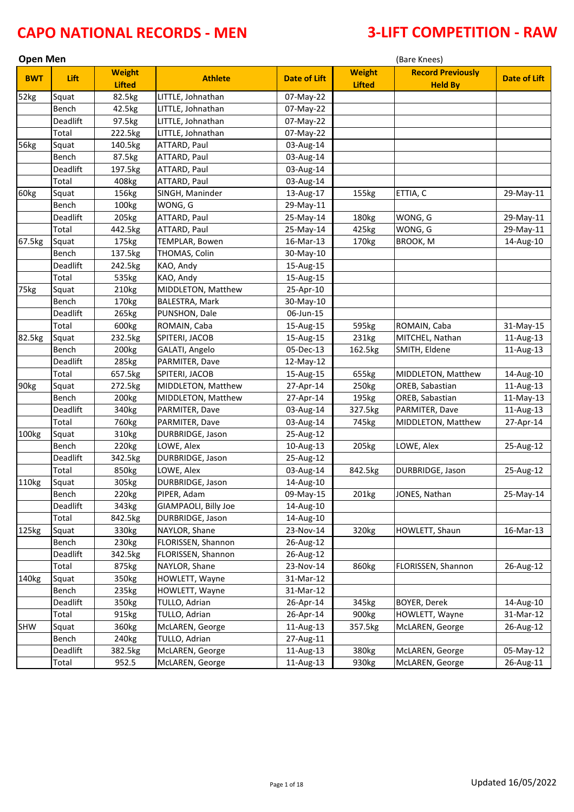| <b>Open Men</b> |          |                                |                       |                     | (Bare Knees)                   |                                            |                     |  |
|-----------------|----------|--------------------------------|-----------------------|---------------------|--------------------------------|--------------------------------------------|---------------------|--|
| <b>BWT</b>      | Lift     | <b>Weight</b><br><b>Lifted</b> | <b>Athlete</b>        | <b>Date of Lift</b> | <b>Weight</b><br><b>Lifted</b> | <b>Record Previously</b><br><b>Held By</b> | <b>Date of Lift</b> |  |
| 52kg            | Squat    | 82.5kg                         | LITTLE, Johnathan     | 07-May-22           |                                |                                            |                     |  |
|                 | Bench    | 42.5kg                         | LITTLE, Johnathan     | 07-May-22           |                                |                                            |                     |  |
|                 | Deadlift | 97.5kg                         | LITTLE, Johnathan     | 07-May-22           |                                |                                            |                     |  |
|                 | Total    | 222.5kg                        | LITTLE, Johnathan     | 07-May-22           |                                |                                            |                     |  |
| 56kg            | Squat    | 140.5kg                        | ATTARD, Paul          | 03-Aug-14           |                                |                                            |                     |  |
|                 | Bench    | 87.5kg                         | ATTARD, Paul          | 03-Aug-14           |                                |                                            |                     |  |
|                 | Deadlift | 197.5kg                        | ATTARD, Paul          | 03-Aug-14           |                                |                                            |                     |  |
|                 | Total    | 408kg                          | ATTARD, Paul          | 03-Aug-14           |                                |                                            |                     |  |
| 60kg            | Squat    | 156kg                          | SINGH, Maninder       | 13-Aug-17           | 155kg                          | ETTIA, C                                   | 29-May-11           |  |
|                 | Bench    | 100kg                          | WONG, G               | 29-May-11           |                                |                                            |                     |  |
|                 | Deadlift | 205kg                          | ATTARD, Paul          | 25-May-14           | 180kg                          | WONG, G                                    | 29-May-11           |  |
|                 | Total    | 442.5kg                        | ATTARD, Paul          | 25-May-14           | 425kg                          | WONG, G                                    | 29-May-11           |  |
| 67.5kg          | Squat    | 175kg                          | TEMPLAR, Bowen        | 16-Mar-13           | 170kg                          | BROOK, M                                   | 14-Aug-10           |  |
|                 | Bench    | 137.5kg                        | THOMAS, Colin         | 30-May-10           |                                |                                            |                     |  |
|                 | Deadlift | 242.5kg                        | KAO, Andy             | 15-Aug-15           |                                |                                            |                     |  |
|                 | Total    | 535kg                          | KAO, Andy             | 15-Aug-15           |                                |                                            |                     |  |
| 75kg            | Squat    | 210 <sub>kg</sub>              | MIDDLETON, Matthew    | 25-Apr-10           |                                |                                            |                     |  |
|                 | Bench    | 170kg                          | <b>BALESTRA, Mark</b> | 30-May-10           |                                |                                            |                     |  |
|                 | Deadlift | 265kg                          | PUNSHON, Dale         | 06-Jun-15           |                                |                                            |                     |  |
|                 | Total    | 600kg                          | ROMAIN, Caba          | 15-Aug-15           | 595kg                          | ROMAIN, Caba                               | 31-May-15           |  |
| 82.5kg          | Squat    | 232.5kg                        | SPITERI, JACOB        | 15-Aug-15           | 231kg                          | MITCHEL, Nathan                            | 11-Aug-13           |  |
|                 | Bench    | 200 <sub>kg</sub>              | GALATI, Angelo        | 05-Dec-13           | 162.5kg                        | SMITH, Eldene                              | 11-Aug-13           |  |
|                 | Deadlift | 285kg                          | PARMITER, Dave        | 12-May-12           |                                |                                            |                     |  |
|                 | Total    | 657.5kg                        | SPITERI, JACOB        | 15-Aug-15           | 655kg                          | MIDDLETON, Matthew                         | 14-Aug-10           |  |
| 90kg            | Squat    | 272.5kg                        | MIDDLETON, Matthew    | 27-Apr-14           | 250kg                          | OREB, Sabastian                            | 11-Aug-13           |  |
|                 | Bench    | 200 <sub>kg</sub>              | MIDDLETON, Matthew    | 27-Apr-14           | 195kg                          | OREB, Sabastian                            | 11-May-13           |  |
|                 | Deadlift | 340kg                          | PARMITER, Dave        | 03-Aug-14           | 327.5kg                        | PARMITER, Dave                             | 11-Aug-13           |  |
|                 | Total    | 760kg                          | PARMITER, Dave        | 03-Aug-14           | 745kg                          | MIDDLETON, Matthew                         | 27-Apr-14           |  |
| 100kg           | Squat    | 310kg                          | DURBRIDGE, Jason      | 25-Aug-12           |                                |                                            |                     |  |
|                 | Bench    | 220kg                          | LOWE, Alex            | 10-Aug-13           | 205kg                          | LOWE, Alex                                 | 25-Aug-12           |  |
|                 | Deadlift | 342.5kg                        | DURBRIDGE, Jason      | 25-Aug-12           |                                |                                            |                     |  |
|                 | Total    | 850kg                          | LOWE, Alex            | 03-Aug-14           | 842.5kg                        | DURBRIDGE, Jason                           | 25-Aug-12           |  |
| 110kg           | Squat    | 305kg                          | DURBRIDGE, Jason      | 14-Aug-10           |                                |                                            |                     |  |
|                 | Bench    | 220kg                          | PIPER, Adam           | 09-May-15           | 201kg                          | JONES, Nathan                              | 25-May-14           |  |
|                 | Deadlift | 343kg                          | GIAMPAOLI, Billy Joe  | 14-Aug-10           |                                |                                            |                     |  |
|                 | Total    | 842.5kg                        | DURBRIDGE, Jason      | 14-Aug-10           |                                |                                            |                     |  |
| 125kg           | Squat    | 330kg                          | NAYLOR, Shane         | 23-Nov-14           | 320kg                          | HOWLETT, Shaun                             | 16-Mar-13           |  |
|                 | Bench    | 230kg                          | FLORISSEN, Shannon    | 26-Aug-12           |                                |                                            |                     |  |
|                 | Deadlift | 342.5kg                        | FLORISSEN, Shannon    | 26-Aug-12           |                                |                                            |                     |  |
|                 | Total    | 875kg                          | NAYLOR, Shane         | 23-Nov-14           | 860kg                          | FLORISSEN, Shannon                         | 26-Aug-12           |  |
| 140kg           | Squat    | 350kg                          | HOWLETT, Wayne        | 31-Mar-12           |                                |                                            |                     |  |
|                 | Bench    | 235kg                          | HOWLETT, Wayne        | 31-Mar-12           |                                |                                            |                     |  |
|                 | Deadlift | 350kg                          | TULLO, Adrian         | 26-Apr-14           | 345kg                          | BOYER, Derek                               | 14-Aug-10           |  |
|                 | Total    | 915kg                          | TULLO, Adrian         | 26-Apr-14           | 900kg                          | HOWLETT, Wayne                             | 31-Mar-12           |  |
| SHW             | Squat    | 360kg                          | McLAREN, George       | 11-Aug-13           | 357.5kg                        | McLAREN, George                            | 26-Aug-12           |  |
|                 | Bench    | 240 <sub>kg</sub>              | TULLO, Adrian         | 27-Aug-11           |                                |                                            |                     |  |
|                 | Deadlift | 382.5kg                        | McLAREN, George       | 11-Aug-13           | 380kg                          | McLAREN, George                            | 05-May-12           |  |
|                 | Total    | 952.5                          | McLAREN, George       | 11-Aug-13           | 930kg                          | McLAREN, George                            | 26-Aug-11           |  |
|                 |          |                                |                       |                     |                                |                                            |                     |  |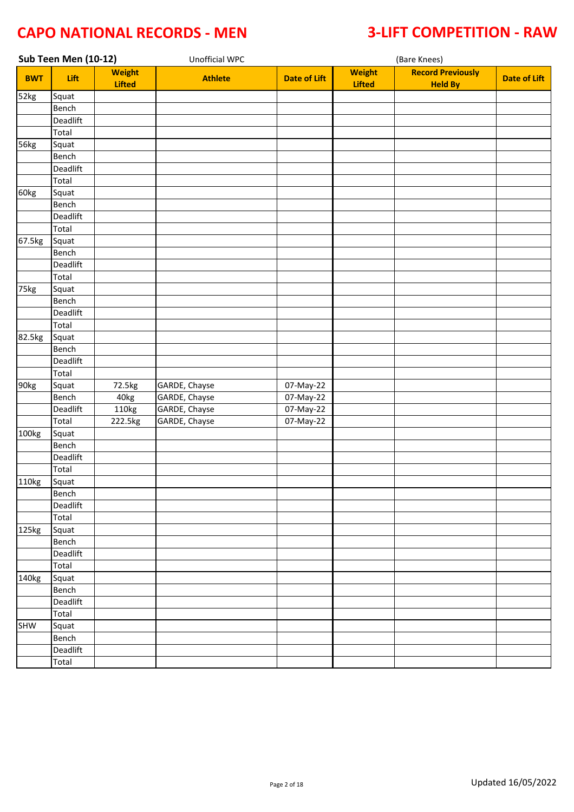| Sub Teen Men (10-12) |          |                                | Unofficial WPC |                     |                                |                                            |                     |
|----------------------|----------|--------------------------------|----------------|---------------------|--------------------------------|--------------------------------------------|---------------------|
| <b>BWT</b>           | Lift     | <b>Weight</b><br><b>Lifted</b> | <b>Athlete</b> | <b>Date of Lift</b> | <b>Weight</b><br><b>Lifted</b> | <b>Record Previously</b><br><b>Held By</b> | <b>Date of Lift</b> |
| 52kg                 | Squat    |                                |                |                     |                                |                                            |                     |
|                      | Bench    |                                |                |                     |                                |                                            |                     |
|                      | Deadlift |                                |                |                     |                                |                                            |                     |
|                      | Total    |                                |                |                     |                                |                                            |                     |
| 56kg                 | Squat    |                                |                |                     |                                |                                            |                     |
|                      | Bench    |                                |                |                     |                                |                                            |                     |
|                      | Deadlift |                                |                |                     |                                |                                            |                     |
|                      | Total    |                                |                |                     |                                |                                            |                     |
| 60kg                 | Squat    |                                |                |                     |                                |                                            |                     |
|                      | Bench    |                                |                |                     |                                |                                            |                     |
|                      | Deadlift |                                |                |                     |                                |                                            |                     |
|                      | Total    |                                |                |                     |                                |                                            |                     |
| 67.5kg               | Squat    |                                |                |                     |                                |                                            |                     |
|                      | Bench    |                                |                |                     |                                |                                            |                     |
|                      | Deadlift |                                |                |                     |                                |                                            |                     |
|                      | Total    |                                |                |                     |                                |                                            |                     |
| 75kg                 | Squat    |                                |                |                     |                                |                                            |                     |
|                      | Bench    |                                |                |                     |                                |                                            |                     |
|                      | Deadlift |                                |                |                     |                                |                                            |                     |
|                      | Total    |                                |                |                     |                                |                                            |                     |
| 82.5kg               | Squat    |                                |                |                     |                                |                                            |                     |
|                      | Bench    |                                |                |                     |                                |                                            |                     |
|                      | Deadlift |                                |                |                     |                                |                                            |                     |
|                      | Total    |                                |                |                     |                                |                                            |                     |
| 90kg                 | Squat    | 72.5kg                         | GARDE, Chayse  | 07-May-22           |                                |                                            |                     |
|                      | Bench    | 40kg                           | GARDE, Chayse  | 07-May-22           |                                |                                            |                     |
|                      | Deadlift | 110kg                          | GARDE, Chayse  | 07-May-22           |                                |                                            |                     |
|                      | Total    | 222.5kg                        | GARDE, Chayse  | 07-May-22           |                                |                                            |                     |
| 100kg                | Squat    |                                |                |                     |                                |                                            |                     |
|                      | Bench    |                                |                |                     |                                |                                            |                     |
|                      | Deadlift |                                |                |                     |                                |                                            |                     |
|                      | Total    |                                |                |                     |                                |                                            |                     |
| 110kg                | Squat    |                                |                |                     |                                |                                            |                     |
|                      | Bench    |                                |                |                     |                                |                                            |                     |
|                      | Deadlift |                                |                |                     |                                |                                            |                     |
|                      | Total    |                                |                |                     |                                |                                            |                     |
| 125kg                | Squat    |                                |                |                     |                                |                                            |                     |
|                      | Bench    |                                |                |                     |                                |                                            |                     |
|                      | Deadlift |                                |                |                     |                                |                                            |                     |
|                      | Total    |                                |                |                     |                                |                                            |                     |
| 140kg                | Squat    |                                |                |                     |                                |                                            |                     |
|                      | Bench    |                                |                |                     |                                |                                            |                     |
|                      | Deadlift |                                |                |                     |                                |                                            |                     |
|                      | Total    |                                |                |                     |                                |                                            |                     |
| SHW                  | Squat    |                                |                |                     |                                |                                            |                     |
|                      | Bench    |                                |                |                     |                                |                                            |                     |
|                      | Deadlift |                                |                |                     |                                |                                            |                     |
|                      | Total    |                                |                |                     |                                |                                            |                     |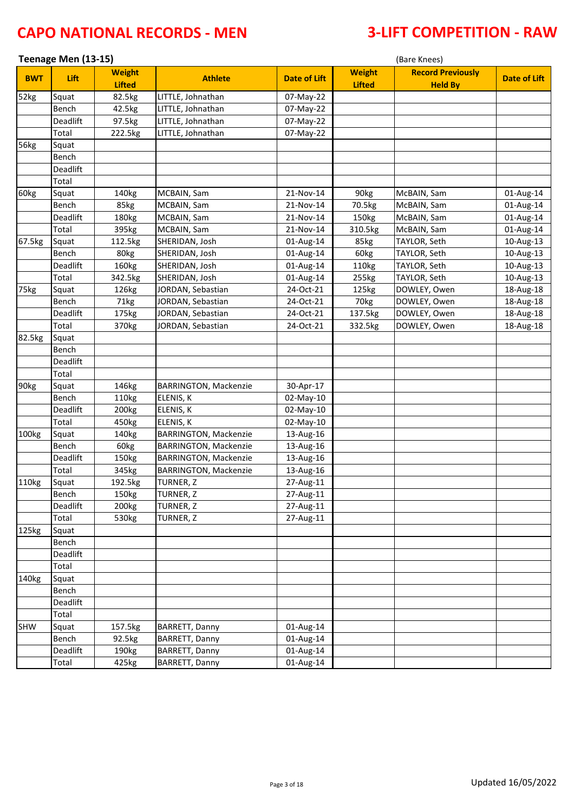|            | Teenage Men (13-15) |                                |                              |                     | (Bare Knees)                   |                                            |                     |  |  |
|------------|---------------------|--------------------------------|------------------------------|---------------------|--------------------------------|--------------------------------------------|---------------------|--|--|
| <b>BWT</b> | Lift                | <b>Weight</b><br><b>Lifted</b> | <b>Athlete</b>               | <b>Date of Lift</b> | <b>Weight</b><br><b>Lifted</b> | <b>Record Previously</b><br><b>Held By</b> | <b>Date of Lift</b> |  |  |
| 52kg       | Squat               | 82.5kg                         | LITTLE, Johnathan            | 07-May-22           |                                |                                            |                     |  |  |
|            | Bench               | 42.5kg                         | LITTLE, Johnathan            | 07-May-22           |                                |                                            |                     |  |  |
|            | <b>Deadlift</b>     | 97.5kg                         | LITTLE, Johnathan            | 07-May-22           |                                |                                            |                     |  |  |
|            | Total               | 222.5kg                        | LITTLE, Johnathan            | 07-May-22           |                                |                                            |                     |  |  |
| 56kg       | Squat               |                                |                              |                     |                                |                                            |                     |  |  |
|            | Bench               |                                |                              |                     |                                |                                            |                     |  |  |
|            | Deadlift            |                                |                              |                     |                                |                                            |                     |  |  |
|            | Total               |                                |                              |                     |                                |                                            |                     |  |  |
| 60kg       | Squat               | 140kg                          | MCBAIN, Sam                  | 21-Nov-14           | 90kg                           | McBAIN, Sam                                | 01-Aug-14           |  |  |
|            | Bench               | 85kg                           | MCBAIN, Sam                  | 21-Nov-14           | 70.5kg                         | McBAIN, Sam                                | 01-Aug-14           |  |  |
|            | Deadlift            | 180kg                          | MCBAIN, Sam                  | 21-Nov-14           | 150kg                          | McBAIN, Sam                                | 01-Aug-14           |  |  |
|            | Total               | 395kg                          | MCBAIN, Sam                  | 21-Nov-14           | 310.5kg                        | McBAIN, Sam                                | 01-Aug-14           |  |  |
| 67.5kg     | Squat               | 112.5kg                        | SHERIDAN, Josh               | 01-Aug-14           | 85kg                           | TAYLOR, Seth                               | 10-Aug-13           |  |  |
|            | Bench               | 80kg                           | SHERIDAN, Josh               | 01-Aug-14           | 60kg                           | TAYLOR, Seth                               | 10-Aug-13           |  |  |
|            | Deadlift            | 160kg                          | SHERIDAN, Josh               | 01-Aug-14           | 110kg                          | TAYLOR, Seth                               | 10-Aug-13           |  |  |
|            | Total               | 342.5kg                        | SHERIDAN, Josh               | 01-Aug-14           | 255kg                          | TAYLOR, Seth                               | 10-Aug-13           |  |  |
| 75kg       | Squat               | 126kg                          | JORDAN, Sebastian            | 24-Oct-21           | 125kg                          | DOWLEY, Owen                               | 18-Aug-18           |  |  |
|            | Bench               | 71kg                           | JORDAN, Sebastian            | 24-Oct-21           | 70kg                           | DOWLEY, Owen                               | 18-Aug-18           |  |  |
|            | Deadlift            | 175kg                          | JORDAN, Sebastian            | 24-Oct-21           | 137.5kg                        | DOWLEY, Owen                               | 18-Aug-18           |  |  |
|            | Total               | 370kg                          | JORDAN, Sebastian            | 24-Oct-21           | 332.5kg                        | DOWLEY, Owen                               | 18-Aug-18           |  |  |
| 82.5kg     | Squat               |                                |                              |                     |                                |                                            |                     |  |  |
|            | Bench               |                                |                              |                     |                                |                                            |                     |  |  |
|            | Deadlift            |                                |                              |                     |                                |                                            |                     |  |  |
|            | Total               |                                |                              |                     |                                |                                            |                     |  |  |
| 90kg       | Squat               | 146kg                          | <b>BARRINGTON, Mackenzie</b> | 30-Apr-17           |                                |                                            |                     |  |  |
|            | Bench               | 110kg                          | ELENIS, K                    | 02-May-10           |                                |                                            |                     |  |  |
|            | Deadlift            | 200kg                          | ELENIS, K                    | 02-May-10           |                                |                                            |                     |  |  |
|            | Total               | 450kg                          | ELENIS, K                    | 02-May-10           |                                |                                            |                     |  |  |
| 100kg      | Squat               | 140kg                          | <b>BARRINGTON, Mackenzie</b> | 13-Aug-16           |                                |                                            |                     |  |  |
|            | Bench               | 60kg                           | <b>BARRINGTON, Mackenzie</b> | 13-Aug-16           |                                |                                            |                     |  |  |
|            | Deadlift            | 150kg                          | BARRINGTON, Mackenzie        | 13-Aug-16           |                                |                                            |                     |  |  |
|            | Total               | 345kg                          | <b>BARRINGTON, Mackenzie</b> | 13-Aug-16           |                                |                                            |                     |  |  |
| 110kg      | Squat               | 192.5kg                        | TURNER, Z                    | 27-Aug-11           |                                |                                            |                     |  |  |
|            | Bench               | 150kg                          | TURNER, Z                    | 27-Aug-11           |                                |                                            |                     |  |  |
|            | Deadlift            | 200kg                          | TURNER, Z                    | 27-Aug-11           |                                |                                            |                     |  |  |
|            | Total               | 530kg                          | TURNER, Z                    | 27-Aug-11           |                                |                                            |                     |  |  |
| 125kg      | Squat               |                                |                              |                     |                                |                                            |                     |  |  |
|            | Bench               |                                |                              |                     |                                |                                            |                     |  |  |
|            | Deadlift            |                                |                              |                     |                                |                                            |                     |  |  |
|            | Total               |                                |                              |                     |                                |                                            |                     |  |  |
| 140kg      | Squat               |                                |                              |                     |                                |                                            |                     |  |  |
|            | Bench               |                                |                              |                     |                                |                                            |                     |  |  |
|            | Deadlift            |                                |                              |                     |                                |                                            |                     |  |  |
|            | Total               |                                |                              |                     |                                |                                            |                     |  |  |
| <b>SHW</b> | Squat               | 157.5kg                        | BARRETT, Danny               | 01-Aug-14           |                                |                                            |                     |  |  |
|            | Bench               | 92.5kg                         | BARRETT, Danny               | 01-Aug-14           |                                |                                            |                     |  |  |
|            | Deadlift            | 190kg                          | BARRETT, Danny               | 01-Aug-14           |                                |                                            |                     |  |  |
|            | Total               | 425kg                          | BARRETT, Danny               | 01-Aug-14           |                                |                                            |                     |  |  |
|            |                     |                                |                              |                     |                                |                                            |                     |  |  |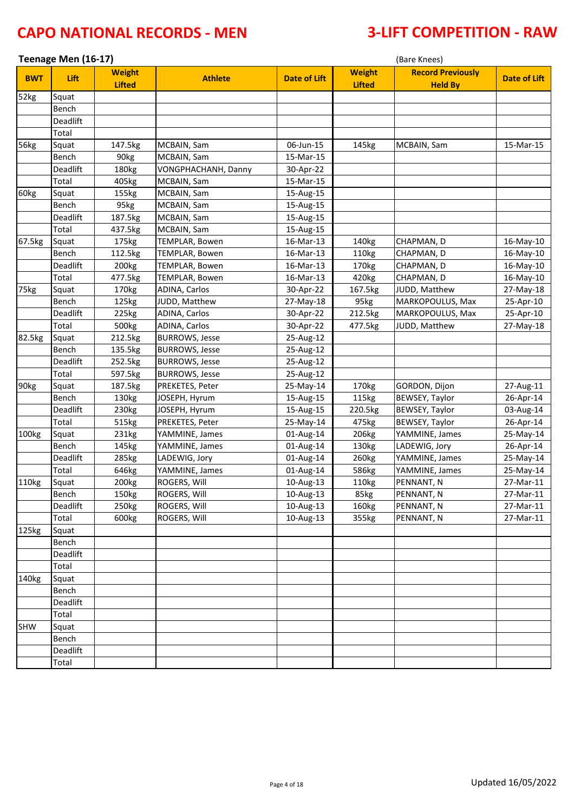|                  | Teenage Men (16-17) |                   |                              | (Bare Knees)        |                   |                          |                     |  |
|------------------|---------------------|-------------------|------------------------------|---------------------|-------------------|--------------------------|---------------------|--|
| <b>BWT</b>       | Lift                | <b>Weight</b>     | <b>Athlete</b>               | <b>Date of Lift</b> | <b>Weight</b>     | <b>Record Previously</b> | <b>Date of Lift</b> |  |
|                  |                     | <b>Lifted</b>     |                              |                     | <b>Lifted</b>     | <b>Held By</b>           |                     |  |
| 52kg             | Squat               |                   |                              |                     |                   |                          |                     |  |
|                  | Bench               |                   |                              |                     |                   |                          |                     |  |
|                  | Deadlift            |                   |                              |                     |                   |                          |                     |  |
|                  | Total               |                   |                              |                     |                   |                          |                     |  |
| 56kg             | Squat               | 147.5kg           | MCBAIN, Sam                  | 06-Jun-15           | 145kg             | MCBAIN, Sam              | 15-Mar-15           |  |
|                  | Bench               | 90kg              | MCBAIN, Sam                  | 15-Mar-15           |                   |                          |                     |  |
|                  | Deadlift            | 180kg             | VONGPHACHANH, Danny          | 30-Apr-22           |                   |                          |                     |  |
|                  | Total               | 405kg             | MCBAIN, Sam                  | 15-Mar-15           |                   |                          |                     |  |
| 60kg             | Squat               | 155kg             | MCBAIN, Sam                  | 15-Aug-15           |                   |                          |                     |  |
|                  | Bench               | 95kg              | MCBAIN, Sam                  | 15-Aug-15           |                   |                          |                     |  |
|                  | Deadlift            | 187.5kg           | MCBAIN, Sam                  | 15-Aug-15           |                   |                          |                     |  |
|                  | Total               | 437.5kg           | MCBAIN, Sam                  | 15-Aug-15           |                   |                          |                     |  |
| 67.5kg           | Squat               | 175kg             | <b>TEMPLAR, Bowen</b>        | 16-Mar-13           | 140kg             | CHAPMAN, D               | 16-May-10           |  |
|                  | Bench               | 112.5kg           | TEMPLAR, Bowen               | 16-Mar-13           | 110kg             | CHAPMAN, D               | 16-May-10           |  |
|                  | Deadlift            | 200 <sub>kg</sub> | <b>TEMPLAR, Bowen</b>        | 16-Mar-13           | 170kg             | CHAPMAN, D               | 16-May-10           |  |
|                  | Total               | 477.5kg           | <b>TEMPLAR, Bowen</b>        | 16-Mar-13           | 420kg             | CHAPMAN, D               | 16-May-10           |  |
| 75kg             | Squat               | 170kg             | ADINA, Carlos                | 30-Apr-22           | 167.5kg           | JUDD, Matthew            | 27-May-18           |  |
|                  | Bench               | 125kg             | JUDD, Matthew                | 27-May-18           | 95kg              | MARKOPOULUS, Max         | 25-Apr-10           |  |
|                  | Deadlift            | 225kg             | <b>ADINA, Carlos</b>         | 30-Apr-22           | 212.5kg           | MARKOPOULUS, Max         | 25-Apr-10           |  |
|                  | Total               | 500kg             | ADINA, Carlos                | 30-Apr-22           | 477.5kg           | JUDD, Matthew            | 27-May-18           |  |
| 82.5kg           | Squat               | 212.5kg           | <b>BURROWS, Jesse</b>        | 25-Aug-12           |                   |                          |                     |  |
|                  | Bench               | 135.5kg           | <b>BURROWS, Jesse</b>        | 25-Aug-12           |                   |                          |                     |  |
|                  | Deadlift            | 252.5kg           | <b>BURROWS, Jesse</b>        | 25-Aug-12           |                   |                          |                     |  |
|                  | Total               | 597.5kg           | <b>BURROWS, Jesse</b>        | 25-Aug-12           |                   |                          |                     |  |
| 90 <sub>kg</sub> | Squat               | 187.5kg           | PREKETES, Peter              | 25-May-14           | 170 <sub>kg</sub> | GORDON, Dijon            | 27-Aug-11           |  |
|                  | Bench               | 130kg             | JOSEPH, Hyrum                | 15-Aug-15           | 115kg             | BEWSEY, Taylor           | 26-Apr-14           |  |
|                  | Deadlift            | 230kg             | JOSEPH, Hyrum                | 15-Aug-15           | 220.5kg           | BEWSEY, Taylor           | 03-Aug-14           |  |
|                  | Total               | 515kg             | PREKETES, Peter              | 25-May-14           | 475kg             | BEWSEY, Taylor           | 26-Apr-14           |  |
| 100kg            | Squat               | 231kg             | YAMMINE, James               | 01-Aug-14           | 206kg             | YAMMINE, James           | 25-May-14           |  |
|                  | Bench               | 145kg             | YAMMINE, James               | 01-Aug-14           | 130kg             | LADEWIG, Jory            | 26-Apr-14           |  |
|                  | Deadlift            | 285kg             | LADEWIG, Jory                | 01-Aug-14           | 260kg             | YAMMINE, James           | 25-May-14           |  |
|                  | Total               | 646kg             | YAMMINE, James               | 01-Aug-14           | 586kg             | YAMMINE, James           | 25-May-14           |  |
| 110kg            | Squat               | 200 <sub>kg</sub> | ROGERS, Will                 | 10-Aug-13           | 110kg             | PENNANT, N               | 27-Mar-11           |  |
|                  | Bench               | 150kg             | ROGERS, Will                 | 10-Aug-13           | 85kg              | PENNANT, N               | 27-Mar-11           |  |
|                  | Deadlift            | 250kg             | ROGERS, Will<br>ROGERS, Will | 10-Aug-13           | 160kg             | PENNANT, N               | 27-Mar-11           |  |
|                  | Total               | 600kg             |                              | 10-Aug-13           | 355kg             | PENNANT, N               | 27-Mar-11           |  |
| 125kg            | Squat<br>Bench      |                   |                              |                     |                   |                          |                     |  |
|                  | Deadlift            |                   |                              |                     |                   |                          |                     |  |
|                  | Total               |                   |                              |                     |                   |                          |                     |  |
| 140kg            | Squat               |                   |                              |                     |                   |                          |                     |  |
|                  |                     |                   |                              |                     |                   |                          |                     |  |
|                  | Bench               |                   |                              |                     |                   |                          |                     |  |
|                  | Deadlift            |                   |                              |                     |                   |                          |                     |  |
|                  | Total               |                   |                              |                     |                   |                          |                     |  |
| SHW              | Squat<br>Bench      |                   |                              |                     |                   |                          |                     |  |
|                  | Deadlift            |                   |                              |                     |                   |                          |                     |  |
|                  | Total               |                   |                              |                     |                   |                          |                     |  |
|                  |                     |                   |                              |                     |                   |                          |                     |  |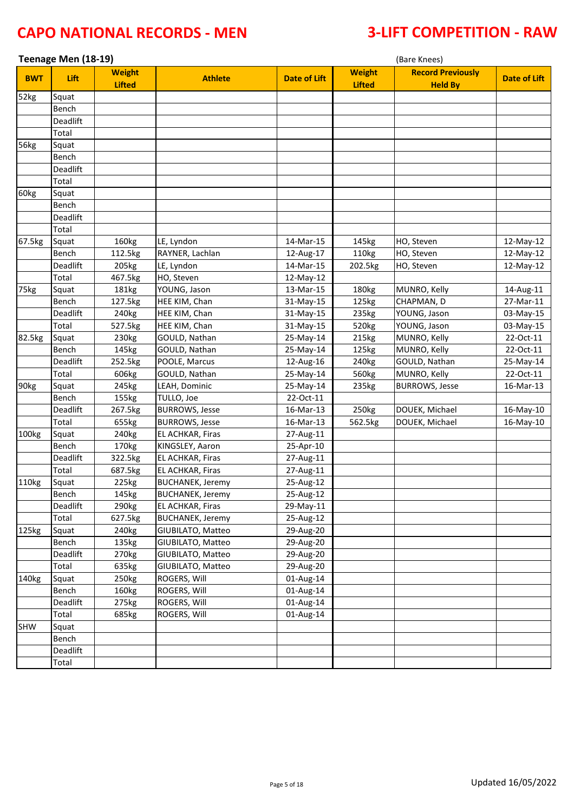| Teenage Men (18-19)<br>(Bare Knees) |          |                                |                         |                     |                                |                                            |                     |
|-------------------------------------|----------|--------------------------------|-------------------------|---------------------|--------------------------------|--------------------------------------------|---------------------|
| <b>BWT</b>                          | Lift     | <b>Weight</b><br><b>Lifted</b> | <b>Athlete</b>          | <b>Date of Lift</b> | <b>Weight</b><br><b>Lifted</b> | <b>Record Previously</b><br><b>Held By</b> | <b>Date of Lift</b> |
| 52kg                                | Squat    |                                |                         |                     |                                |                                            |                     |
|                                     | Bench    |                                |                         |                     |                                |                                            |                     |
|                                     | Deadlift |                                |                         |                     |                                |                                            |                     |
|                                     | Total    |                                |                         |                     |                                |                                            |                     |
| 56kg                                | Squat    |                                |                         |                     |                                |                                            |                     |
|                                     | Bench    |                                |                         |                     |                                |                                            |                     |
|                                     | Deadlift |                                |                         |                     |                                |                                            |                     |
|                                     | Total    |                                |                         |                     |                                |                                            |                     |
| 60kg                                | Squat    |                                |                         |                     |                                |                                            |                     |
|                                     | Bench    |                                |                         |                     |                                |                                            |                     |
|                                     | Deadlift |                                |                         |                     |                                |                                            |                     |
|                                     | Total    |                                |                         |                     |                                |                                            |                     |
| 67.5kg                              | Squat    | 160kg                          | LE, Lyndon              | 14-Mar-15           | 145kg                          | HO, Steven                                 | 12-May-12           |
|                                     | Bench    | 112.5kg                        | RAYNER, Lachlan         | 12-Aug-17           | 110kg                          | HO, Steven                                 | 12-May-12           |
|                                     | Deadlift | 205kg                          | LE, Lyndon              | 14-Mar-15           | 202.5kg                        | HO, Steven                                 | 12-May-12           |
|                                     | Total    | 467.5kg                        | HO, Steven              | 12-May-12           |                                |                                            |                     |
| 75kg                                | Squat    | 181kg                          | YOUNG, Jason            | 13-Mar-15           | 180kg                          | MUNRO, Kelly                               | 14-Aug-11           |
|                                     | Bench    | 127.5kg                        | HEE KIM, Chan           | 31-May-15           | 125kg                          | CHAPMAN, D                                 | 27-Mar-11           |
|                                     | Deadlift | 240 <sub>kg</sub>              | HEE KIM, Chan           | 31-May-15           | 235kg                          | YOUNG, Jason                               | 03-May-15           |
|                                     | Total    | 527.5kg                        | HEE KIM, Chan           | 31-May-15           | 520kg                          | YOUNG, Jason                               | 03-May-15           |
| 82.5kg                              | Squat    | 230kg                          | GOULD, Nathan           | 25-May-14           | 215kg                          | MUNRO, Kelly                               | 22-Oct-11           |
|                                     | Bench    | 145kg                          | GOULD, Nathan           | 25-May-14           | 125kg                          | MUNRO, Kelly                               | 22-Oct-11           |
|                                     | Deadlift | 252.5kg                        | POOLE, Marcus           | 12-Aug-16           | 240kg                          | GOULD, Nathan                              | 25-May-14           |
|                                     | Total    | 606kg                          | GOULD, Nathan           | 25-May-14           | 560kg                          | MUNRO, Kelly                               | 22-Oct-11           |
| 90kg                                | Squat    | 245kg                          | LEAH, Dominic           | 25-May-14           | 235kg                          | <b>BURROWS, Jesse</b>                      | 16-Mar-13           |
|                                     | Bench    | 155kg                          | TULLO, Joe              | 22-Oct-11           |                                |                                            |                     |
|                                     | Deadlift | 267.5kg                        | <b>BURROWS, Jesse</b>   | 16-Mar-13           | 250kg                          | DOUEK, Michael                             | 16-May-10           |
|                                     | Total    | 655kg                          | <b>BURROWS, Jesse</b>   | 16-Mar-13           | 562.5kg                        | DOUEK, Michael                             | 16-May-10           |
| 100kg                               | Squat    | 240kg                          | EL ACHKAR, Firas        | 27-Aug-11           |                                |                                            |                     |
|                                     | Bench    | 170kg                          | KINGSLEY, Aaron         | 25-Apr-10           |                                |                                            |                     |
|                                     | Deadlift | 322.5kg                        | EL ACHKAR, Firas        | 27-Aug-11           |                                |                                            |                     |
|                                     | Total    | 687.5kg                        | EL ACHKAR, Firas        | 27-Aug-11           |                                |                                            |                     |
| 110kg                               | Squat    | 225kg                          | <b>BUCHANEK, Jeremy</b> | 25-Aug-12           |                                |                                            |                     |
|                                     | Bench    | 145kg                          | <b>BUCHANEK, Jeremy</b> | 25-Aug-12           |                                |                                            |                     |
|                                     | Deadlift | 290kg                          | EL ACHKAR, Firas        | 29-May-11           |                                |                                            |                     |
|                                     | Total    | 627.5kg                        | <b>BUCHANEK, Jeremy</b> | 25-Aug-12           |                                |                                            |                     |
| 125kg                               | Squat    | 240kg                          | GIUBILATO, Matteo       | 29-Aug-20           |                                |                                            |                     |
|                                     | Bench    | 135kg                          | GIUBILATO, Matteo       | 29-Aug-20           |                                |                                            |                     |
|                                     | Deadlift | 270kg                          | GIUBILATO, Matteo       | 29-Aug-20           |                                |                                            |                     |
|                                     | Total    | 635kg                          | GIUBILATO, Matteo       | 29-Aug-20           |                                |                                            |                     |
| 140kg                               | Squat    | 250kg                          | ROGERS, Will            | 01-Aug-14           |                                |                                            |                     |
|                                     | Bench    | 160kg                          | ROGERS, Will            | 01-Aug-14           |                                |                                            |                     |
|                                     | Deadlift | 275kg                          | ROGERS, Will            | 01-Aug-14           |                                |                                            |                     |
|                                     | Total    | 685kg                          | ROGERS, Will            | 01-Aug-14           |                                |                                            |                     |
| <b>SHW</b>                          | Squat    |                                |                         |                     |                                |                                            |                     |
|                                     | Bench    |                                |                         |                     |                                |                                            |                     |
|                                     | Deadlift |                                |                         |                     |                                |                                            |                     |
|                                     | Total    |                                |                         |                     |                                |                                            |                     |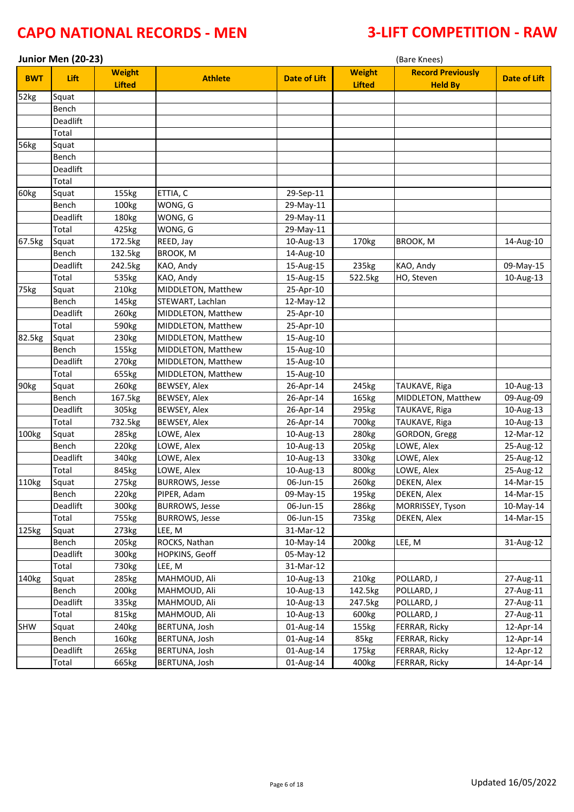|            | Junior Men (20-23)<br>(Bare Knees) |                                |                       |                     |                                |                                            |                     |
|------------|------------------------------------|--------------------------------|-----------------------|---------------------|--------------------------------|--------------------------------------------|---------------------|
| <b>BWT</b> | Lift                               | <b>Weight</b><br><b>Lifted</b> | <b>Athlete</b>        | <b>Date of Lift</b> | <b>Weight</b><br><b>Lifted</b> | <b>Record Previously</b><br><b>Held By</b> | <b>Date of Lift</b> |
| 52kg       | Squat                              |                                |                       |                     |                                |                                            |                     |
|            | Bench                              |                                |                       |                     |                                |                                            |                     |
|            | Deadlift                           |                                |                       |                     |                                |                                            |                     |
|            | Total                              |                                |                       |                     |                                |                                            |                     |
| 56kg       | Squat                              |                                |                       |                     |                                |                                            |                     |
|            | Bench                              |                                |                       |                     |                                |                                            |                     |
|            | Deadlift                           |                                |                       |                     |                                |                                            |                     |
|            | Total                              |                                |                       |                     |                                |                                            |                     |
| 60kg       | Squat                              | 155kg                          | ETTIA, C              | 29-Sep-11           |                                |                                            |                     |
|            | Bench                              | 100kg                          | WONG, G               | 29-May-11           |                                |                                            |                     |
|            | Deadlift                           | 180kg                          | WONG, G               | 29-May-11           |                                |                                            |                     |
|            | Total                              | 425kg                          | WONG, G               | 29-May-11           |                                |                                            |                     |
| 67.5kg     | Squat                              | 172.5kg                        | REED, Jay             | 10-Aug-13           | 170kg                          | BROOK, M                                   | 14-Aug-10           |
|            | Bench                              | 132.5kg                        | <b>BROOK, M</b>       | 14-Aug-10           |                                |                                            |                     |
|            | Deadlift                           | 242.5kg                        | KAO, Andy             | 15-Aug-15           | 235kg                          | KAO, Andy                                  | 09-May-15           |
|            | Total                              | 535kg                          | KAO, Andy             | 15-Aug-15           | 522.5kg                        | HO, Steven                                 | 10-Aug-13           |
| 75kg       | Squat                              | 210kg                          | MIDDLETON, Matthew    | 25-Apr-10           |                                |                                            |                     |
|            | Bench                              | 145kg                          | STEWART, Lachlan      | 12-May-12           |                                |                                            |                     |
|            | <b>Deadlift</b>                    | 260kg                          | MIDDLETON, Matthew    | 25-Apr-10           |                                |                                            |                     |
|            | Total                              | 590kg                          | MIDDLETON, Matthew    | 25-Apr-10           |                                |                                            |                     |
| 82.5kg     | Squat                              | 230kg                          | MIDDLETON, Matthew    | 15-Aug-10           |                                |                                            |                     |
|            | Bench                              | 155kg                          | MIDDLETON, Matthew    | 15-Aug-10           |                                |                                            |                     |
|            | Deadlift                           | 270kg                          | MIDDLETON, Matthew    | 15-Aug-10           |                                |                                            |                     |
|            | Total                              | 655kg                          | MIDDLETON, Matthew    | 15-Aug-10           |                                |                                            |                     |
| 90kg       | Squat                              | 260kg                          | BEWSEY, Alex          | 26-Apr-14           | 245kg                          | TAUKAVE, Riga                              | 10-Aug-13           |
|            | Bench                              | 167.5kg                        | <b>BEWSEY, Alex</b>   | 26-Apr-14           | 165kg                          | MIDDLETON, Matthew                         | 09-Aug-09           |
|            | Deadlift                           | 305kg                          | BEWSEY, Alex          | 26-Apr-14           | 295kg                          | TAUKAVE, Riga                              | 10-Aug-13           |
|            | Total                              | 732.5kg                        | <b>BEWSEY, Alex</b>   | 26-Apr-14           | 700kg                          | TAUKAVE, Riga                              | 10-Aug-13           |
| 100kg      | Squat                              | 285kg                          | LOWE, Alex            | 10-Aug-13           | 280kg                          | GORDON, Gregg                              | 12-Mar-12           |
|            | Bench                              | 220kg                          | LOWE, Alex            | 10-Aug-13           | 205kg                          | LOWE, Alex                                 | 25-Aug-12           |
|            | Deadlift                           | 340kg                          | LOWE, Alex            | 10-Aug-13           | 330kg                          | LOWE, Alex                                 | 25-Aug-12           |
|            | Total                              | 845kg                          | LOWE, Alex            | 10-Aug-13           | 800kg                          | LOWE, Alex                                 | 25-Aug-12           |
| 110kg      | Squat                              | 275kg                          | <b>BURROWS, Jesse</b> | 06-Jun-15           | 260kg                          | DEKEN, Alex                                | 14-Mar-15           |
|            | Bench                              | 220kg                          | PIPER, Adam           | 09-May-15           | 195kg                          | DEKEN, Alex                                | 14-Mar-15           |
|            | Deadlift                           | 300kg                          | <b>BURROWS, Jesse</b> | 06-Jun-15           | 286kg                          | MORRISSEY, Tyson                           | 10-May-14           |
|            | Total                              | 755kg                          | <b>BURROWS, Jesse</b> | 06-Jun-15           | 735kg                          | DEKEN, Alex                                | 14-Mar-15           |
| 125kg      | Squat                              | 273kg                          | LEE, M                | 31-Mar-12           |                                |                                            |                     |
|            | Bench                              | 205kg                          | ROCKS, Nathan         | 10-May-14           | 200 <sub>kg</sub>              | LEE, M                                     | 31-Aug-12           |
|            | Deadlift                           | 300kg                          | HOPKINS, Geoff        | 05-May-12           |                                |                                            |                     |
|            | Total                              | 730kg                          | LEE, M                | 31-Mar-12           |                                |                                            |                     |
| 140kg      | Squat                              | 285kg                          | MAHMOUD, Ali          | 10-Aug-13           | 210kg                          | POLLARD, J                                 | 27-Aug-11           |
|            | Bench                              | 200 <sub>kg</sub>              | MAHMOUD, Ali          | 10-Aug-13           | 142.5kg                        | POLLARD, J                                 | 27-Aug-11           |
|            | Deadlift                           | 335kg                          | MAHMOUD, Ali          | 10-Aug-13           | 247.5kg                        | POLLARD, J                                 | 27-Aug-11           |
|            | Total                              | 815kg                          | MAHMOUD, Ali          | 10-Aug-13           | 600kg                          | POLLARD, J                                 | 27-Aug-11           |
| SHW        | Squat                              | 240 <sub>kg</sub>              | BERTUNA, Josh         | 01-Aug-14           | 155kg                          | FERRAR, Ricky                              | 12-Apr-14           |
|            | Bench                              | 160kg                          | BERTUNA, Josh         | 01-Aug-14           | 85kg                           | FERRAR, Ricky                              | 12-Apr-14           |
|            | Deadlift                           | 265kg                          | BERTUNA, Josh         | 01-Aug-14           | 175kg                          | FERRAR, Ricky                              | 12-Apr-12           |
|            | Total                              | 665kg                          | BERTUNA, Josh         | 01-Aug-14           | 400kg                          | FERRAR, Ricky                              | 14-Apr-14           |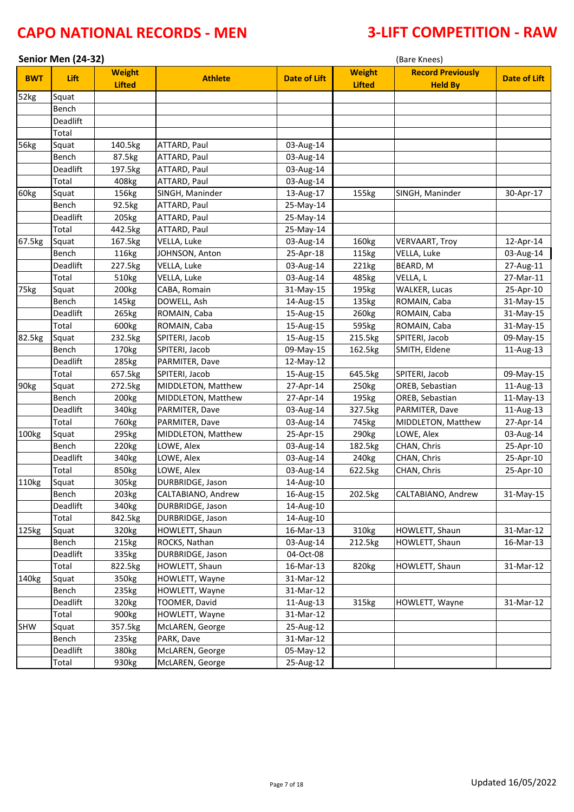|            | Senior Men (24-32) |                                |                    |                     |                                | (Bare Knees)                               |                     |
|------------|--------------------|--------------------------------|--------------------|---------------------|--------------------------------|--------------------------------------------|---------------------|
| <b>BWT</b> | Lift               | <b>Weight</b><br><b>Lifted</b> | <b>Athlete</b>     | <b>Date of Lift</b> | <b>Weight</b><br><b>Lifted</b> | <b>Record Previously</b><br><b>Held By</b> | <b>Date of Lift</b> |
| 52kg       | Squat              |                                |                    |                     |                                |                                            |                     |
|            | Bench              |                                |                    |                     |                                |                                            |                     |
|            | Deadlift           |                                |                    |                     |                                |                                            |                     |
|            | Total              |                                |                    |                     |                                |                                            |                     |
| 56kg       | Squat              | 140.5kg                        | ATTARD, Paul       | 03-Aug-14           |                                |                                            |                     |
|            | Bench              | 87.5kg                         | ATTARD, Paul       | 03-Aug-14           |                                |                                            |                     |
|            | Deadlift           | 197.5kg                        | ATTARD, Paul       | 03-Aug-14           |                                |                                            |                     |
|            | Total              | 408kg                          | ATTARD, Paul       | 03-Aug-14           |                                |                                            |                     |
| 60kg       | Squat              | 156kg                          | SINGH, Maninder    | 13-Aug-17           | 155kg                          | SINGH, Maninder                            | 30-Apr-17           |
|            | Bench              | 92.5kg                         | ATTARD, Paul       | 25-May-14           |                                |                                            |                     |
|            | Deadlift           | 205kg                          | ATTARD, Paul       | 25-May-14           |                                |                                            |                     |
|            | Total              | 442.5kg                        | ATTARD, Paul       | 25-May-14           |                                |                                            |                     |
| 67.5kg     | Squat              | 167.5kg                        | VELLA, Luke        | 03-Aug-14           | 160kg                          | <b>VERVAART, Troy</b>                      | 12-Apr-14           |
|            | Bench              | 116kg                          | JOHNSON, Anton     | 25-Apr-18           | 115kg                          | VELLA, Luke                                | 03-Aug-14           |
|            | Deadlift           | 227.5kg                        | VELLA, Luke        | 03-Aug-14           | 221kg                          | BEARD, M                                   | 27-Aug-11           |
|            | Total              | 510kg                          | VELLA, Luke        | 03-Aug-14           | 485kg                          | VELLA, L                                   | 27-Mar-11           |
| 75kg       | Squat              | 200 <sub>kg</sub>              | CABA, Romain       | 31-May-15           | 195kg                          | <b>WALKER, Lucas</b>                       | 25-Apr-10           |
|            | Bench              | 145kg                          | DOWELL, Ash        | 14-Aug-15           | 135kg                          | ROMAIN, Caba                               | 31-May-15           |
|            | <b>Deadlift</b>    | 265kg                          | ROMAIN, Caba       | 15-Aug-15           | 260kg                          | ROMAIN, Caba                               | 31-May-15           |
|            | Total              | 600kg                          | ROMAIN, Caba       | 15-Aug-15           | 595kg                          | ROMAIN, Caba                               | 31-May-15           |
| 82.5kg     | Squat              | 232.5kg                        | SPITERI, Jacob     | 15-Aug-15           | 215.5kg                        | SPITERI, Jacob                             | 09-May-15           |
|            | Bench              | 170kg                          | SPITERI, Jacob     | 09-May-15           | 162.5kg                        | SMITH, Eldene                              | 11-Aug-13           |
|            | Deadlift           | 285kg                          | PARMITER, Dave     | 12-May-12           |                                |                                            |                     |
|            | Total              | 657.5kg                        | SPITERI, Jacob     | 15-Aug-15           | 645.5kg                        | SPITERI, Jacob                             | 09-May-15           |
| 90kg       | Squat              | 272.5kg                        | MIDDLETON, Matthew | 27-Apr-14           | 250kg                          | OREB, Sebastian                            | 11-Aug-13           |
|            | Bench              | 200 <sub>kg</sub>              | MIDDLETON, Matthew | 27-Apr-14           | 195kg                          | OREB, Sebastian                            | 11-May-13           |
|            | Deadlift           | 340kg                          | PARMITER, Dave     | 03-Aug-14           | 327.5kg                        | PARMITER, Dave                             | 11-Aug-13           |
|            | Total              | 760kg                          | PARMITER, Dave     | 03-Aug-14           | 745kg                          | MIDDLETON, Matthew                         | 27-Apr-14           |
| 100kg      | Squat              | 295kg                          | MIDDLETON, Matthew | 25-Apr-15           | 290kg                          | LOWE, Alex                                 | 03-Aug-14           |
|            | Bench              | 220kg                          | LOWE, Alex         | 03-Aug-14           | 182.5kg                        | CHAN, Chris                                | 25-Apr-10           |
|            | <b>Deadlift</b>    | 340kg                          | LOWE, Alex         | 03-Aug-14           | 240kg                          | CHAN, Chris                                | 25-Apr-10           |
|            | Total              | 850kg                          | LOWE, Alex         | 03-Aug-14           | 622.5kg                        | CHAN, Chris                                | 25-Apr-10           |
| 110kg      | Squat              | 305kg                          | DURBRIDGE, Jason   | 14-Aug-10           |                                |                                            |                     |
|            | Bench              | 203kg                          | CALTABIANO, Andrew | 16-Aug-15           | 202.5kg                        | CALTABIANO, Andrew                         | 31-May-15           |
|            | Deadlift           | 340kg                          | DURBRIDGE, Jason   | 14-Aug-10           |                                |                                            |                     |
|            | Total              | 842.5kg                        | DURBRIDGE, Jason   | 14-Aug-10           |                                |                                            |                     |
| 125kg      | Squat              | 320kg                          | HOWLETT, Shaun     | 16-Mar-13           | 310kg                          | HOWLETT, Shaun                             | 31-Mar-12           |
|            | Bench              | 215kg                          | ROCKS, Nathan      | 03-Aug-14           | 212.5kg                        | HOWLETT, Shaun                             | 16-Mar-13           |
|            | Deadlift           | 335kg                          | DURBRIDGE, Jason   | 04-Oct-08           |                                |                                            |                     |
|            | Total              | 822.5kg                        | HOWLETT, Shaun     | 16-Mar-13           | 820kg                          | HOWLETT, Shaun                             | 31-Mar-12           |
| 140kg      | Squat              | 350kg                          | HOWLETT, Wayne     | 31-Mar-12           |                                |                                            |                     |
|            | Bench              | 235kg                          | HOWLETT, Wayne     | 31-Mar-12           |                                |                                            |                     |
|            | Deadlift           | 320kg                          | TOOMER, David      | 11-Aug-13           | 315kg                          | HOWLETT, Wayne                             | 31-Mar-12           |
|            | Total              | 900kg                          | HOWLETT, Wayne     | 31-Mar-12           |                                |                                            |                     |
| <b>SHW</b> | Squat              | 357.5kg                        | McLAREN, George    | 25-Aug-12           |                                |                                            |                     |
|            | Bench              | 235kg                          | PARK, Dave         | 31-Mar-12           |                                |                                            |                     |
|            | Deadlift           | 380kg                          | McLAREN, George    | 05-May-12           |                                |                                            |                     |
|            | Total              | 930kg                          | McLAREN, George    | 25-Aug-12           |                                |                                            |                     |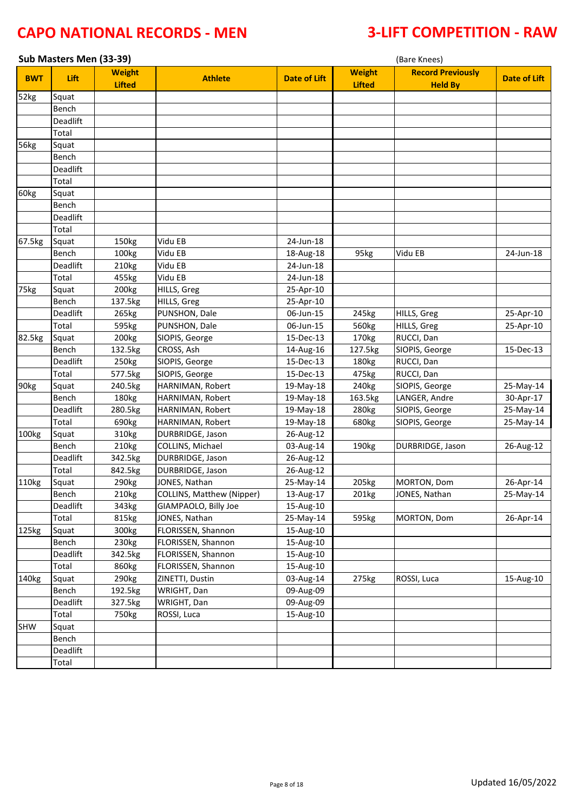| Sub Masters Men (33-39) |                 |                                |                           |                     | (Bare Knees)                   |                                            |                     |  |
|-------------------------|-----------------|--------------------------------|---------------------------|---------------------|--------------------------------|--------------------------------------------|---------------------|--|
| <b>BWT</b>              | Lift            | <b>Weight</b><br><b>Lifted</b> | <b>Athlete</b>            | <b>Date of Lift</b> | <b>Weight</b><br><b>Lifted</b> | <b>Record Previously</b><br><b>Held By</b> | <b>Date of Lift</b> |  |
| 52kg                    | Squat           |                                |                           |                     |                                |                                            |                     |  |
|                         | Bench           |                                |                           |                     |                                |                                            |                     |  |
|                         | Deadlift        |                                |                           |                     |                                |                                            |                     |  |
|                         | Total           |                                |                           |                     |                                |                                            |                     |  |
| 56kg                    | Squat           |                                |                           |                     |                                |                                            |                     |  |
|                         | Bench           |                                |                           |                     |                                |                                            |                     |  |
|                         | Deadlift        |                                |                           |                     |                                |                                            |                     |  |
|                         | Total           |                                |                           |                     |                                |                                            |                     |  |
| 60kg                    | Squat           |                                |                           |                     |                                |                                            |                     |  |
|                         | Bench           |                                |                           |                     |                                |                                            |                     |  |
|                         | Deadlift        |                                |                           |                     |                                |                                            |                     |  |
|                         | Total           |                                |                           |                     |                                |                                            |                     |  |
| 67.5kg                  | Squat           | 150kg                          | Vidu EB                   | 24-Jun-18           |                                |                                            |                     |  |
|                         | Bench           | 100kg                          | Vidu EB                   | 18-Aug-18           | 95kg                           | Vidu EB                                    | 24-Jun-18           |  |
|                         | Deadlift        | 210kg                          | Vidu EB                   | 24-Jun-18           |                                |                                            |                     |  |
|                         | Total           | 455kg                          | Vidu EB                   | 24-Jun-18           |                                |                                            |                     |  |
| 75kg                    | Squat           | 200kg                          | HILLS, Greg               | 25-Apr-10           |                                |                                            |                     |  |
|                         | Bench           | 137.5kg                        | HILLS, Greg               | 25-Apr-10           |                                |                                            |                     |  |
|                         | <b>Deadlift</b> | 265kg                          | PUNSHON, Dale             | 06-Jun-15           | 245kg                          | HILLS, Greg                                | 25-Apr-10           |  |
|                         | Total           | 595kg                          | PUNSHON, Dale             | 06-Jun-15           | 560kg                          | HILLS, Greg                                | 25-Apr-10           |  |
| 82.5kg                  | Squat           | 200 <sub>kg</sub>              | SIOPIS, George            | 15-Dec-13           | 170kg                          | RUCCI, Dan                                 |                     |  |
|                         | Bench           | 132.5kg                        | CROSS, Ash                | 14-Aug-16           | 127.5kg                        | SIOPIS, George                             | 15-Dec-13           |  |
|                         | Deadlift        | 250kg                          | SIOPIS, George            | 15-Dec-13           | 180kg                          | RUCCI, Dan                                 |                     |  |
|                         | Total           | 577.5kg                        | SIOPIS, George            | 15-Dec-13           | 475kg                          | RUCCI, Dan                                 |                     |  |
| 90kg                    | Squat           | 240.5kg                        | HARNIMAN, Robert          | 19-May-18           | 240kg                          | SIOPIS, George                             | 25-May-14           |  |
|                         | Bench           | 180kg                          | HARNIMAN, Robert          | 19-May-18           | 163.5kg                        | LANGER, Andre                              | 30-Apr-17           |  |
|                         | Deadlift        | 280.5kg                        | HARNIMAN, Robert          | 19-May-18           | 280kg                          | SIOPIS, George                             | 25-May-14           |  |
|                         | Total           | 690kg                          | HARNIMAN, Robert          | 19-May-18           | 680kg                          | SIOPIS, George                             | 25-May-14           |  |
| 100kg                   | Squat           | 310kg                          | DURBRIDGE, Jason          | 26-Aug-12           |                                |                                            |                     |  |
|                         | Bench           | 210kg                          | COLLINS, Michael          | 03-Aug-14           | 190kg                          | DURBRIDGE, Jason                           | 26-Aug-12           |  |
|                         | Deadlift        | 342.5kg                        | DURBRIDGE, Jason          | 26-Aug-12           |                                |                                            |                     |  |
|                         | Total           | 842.5kg                        | DURBRIDGE, Jason          | 26-Aug-12           |                                |                                            |                     |  |
| 110 <sub>kg</sub>       | Squat           | 290 <sub>kg</sub>              | JONES, Nathan             | 25-May-14           | 205kg                          | MORTON, Dom                                | 26-Apr-14           |  |
|                         | Bench           | 210kg                          | COLLINS, Matthew (Nipper) | 13-Aug-17           | 201kg                          | JONES, Nathan                              | 25-May-14           |  |
|                         | Deadlift        | 343kg                          | GIAMPAOLO, Billy Joe      | 15-Aug-10           |                                |                                            |                     |  |
|                         | Total           | 815kg                          | JONES, Nathan             | 25-May-14           | 595kg                          | MORTON, Dom                                | 26-Apr-14           |  |
| 125kg                   | Squat           | 300kg                          | FLORISSEN, Shannon        | 15-Aug-10           |                                |                                            |                     |  |
|                         | Bench           | 230kg                          | FLORISSEN, Shannon        | 15-Aug-10           |                                |                                            |                     |  |
|                         | Deadlift        | 342.5kg                        | FLORISSEN, Shannon        | 15-Aug-10           |                                |                                            |                     |  |
|                         | Total           | 860kg                          | FLORISSEN, Shannon        | 15-Aug-10           |                                |                                            |                     |  |
| 140kg                   | Squat           | 290kg                          | ZINETTI, Dustin           | 03-Aug-14           | 275kg                          | ROSSI, Luca                                | 15-Aug-10           |  |
|                         | Bench           | 192.5kg                        | WRIGHT, Dan               | 09-Aug-09           |                                |                                            |                     |  |
|                         | Deadlift        | 327.5kg                        | WRIGHT, Dan               | 09-Aug-09           |                                |                                            |                     |  |
|                         | Total           | 750kg                          | ROSSI, Luca               | 15-Aug-10           |                                |                                            |                     |  |
| <b>SHW</b>              | Squat           |                                |                           |                     |                                |                                            |                     |  |
|                         | Bench           |                                |                           |                     |                                |                                            |                     |  |
|                         | Deadlift        |                                |                           |                     |                                |                                            |                     |  |
|                         | Total           |                                |                           |                     |                                |                                            |                     |  |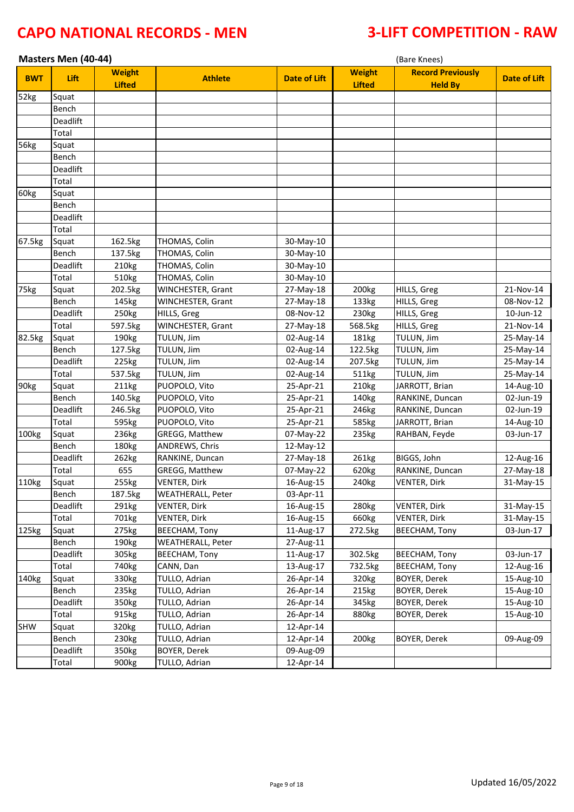|                   | Masters Men (40-44)<br>(Bare Knees) |                                |                          |                     |                                |                                            |                     |
|-------------------|-------------------------------------|--------------------------------|--------------------------|---------------------|--------------------------------|--------------------------------------------|---------------------|
| <b>BWT</b>        | Lift                                | <b>Weight</b><br><b>Lifted</b> | <b>Athlete</b>           | <b>Date of Lift</b> | <b>Weight</b><br><b>Lifted</b> | <b>Record Previously</b><br><b>Held By</b> | <b>Date of Lift</b> |
| 52kg              | Squat                               |                                |                          |                     |                                |                                            |                     |
|                   | Bench                               |                                |                          |                     |                                |                                            |                     |
|                   | <b>Deadlift</b>                     |                                |                          |                     |                                |                                            |                     |
|                   | Total                               |                                |                          |                     |                                |                                            |                     |
| 56kg              | Squat                               |                                |                          |                     |                                |                                            |                     |
|                   | Bench                               |                                |                          |                     |                                |                                            |                     |
|                   | Deadlift                            |                                |                          |                     |                                |                                            |                     |
|                   | Total                               |                                |                          |                     |                                |                                            |                     |
| 60kg              | Squat                               |                                |                          |                     |                                |                                            |                     |
|                   | Bench                               |                                |                          |                     |                                |                                            |                     |
|                   | Deadlift                            |                                |                          |                     |                                |                                            |                     |
|                   | Total                               |                                |                          |                     |                                |                                            |                     |
| 67.5kg            | Squat                               | 162.5kg                        | THOMAS, Colin            | 30-May-10           |                                |                                            |                     |
|                   | Bench                               | 137.5kg                        | THOMAS, Colin            | 30-May-10           |                                |                                            |                     |
|                   | Deadlift                            | 210kg                          | THOMAS, Colin            | 30-May-10           |                                |                                            |                     |
|                   | Total                               | 510kg                          | THOMAS, Colin            | 30-May-10           |                                |                                            |                     |
| 75kg              | Squat                               | 202.5kg                        | WINCHESTER, Grant        | 27-May-18           | 200kg                          | HILLS, Greg                                | 21-Nov-14           |
|                   | Bench                               | 145kg                          | WINCHESTER, Grant        | 27-May-18           | 133kg                          | HILLS, Greg                                | 08-Nov-12           |
|                   | Deadlift                            | 250kg                          | HILLS, Greg              | 08-Nov-12           | 230kg                          | HILLS, Greg                                | 10-Jun-12           |
|                   | Total                               | 597.5kg                        | WINCHESTER, Grant        | 27-May-18           | 568.5kg                        | HILLS, Greg                                | 21-Nov-14           |
| 82.5kg            | Squat                               | 190kg                          | TULUN, Jim               | 02-Aug-14           | 181kg                          | TULUN, Jim                                 | 25-May-14           |
|                   | Bench                               | 127.5kg                        | TULUN, Jim               | 02-Aug-14           | 122.5kg                        | TULUN, Jim                                 | 25-May-14           |
|                   | Deadlift                            | 225kg                          | TULUN, Jim               | 02-Aug-14           | 207.5kg                        | TULUN, Jim                                 | 25-May-14           |
|                   | Total                               | 537.5kg                        | TULUN, Jim               | 02-Aug-14           | 511kg                          | TULUN, Jim                                 | 25-May-14           |
| 90kg              | Squat                               | 211kg                          | PUOPOLO, Vito            | 25-Apr-21           | 210 <sub>kg</sub>              | JARROTT, Brian                             | 14-Aug-10           |
|                   | Bench                               | 140.5kg                        | PUOPOLO, Vito            | 25-Apr-21           | 140kg                          | RANKINE, Duncan                            | 02-Jun-19           |
|                   | Deadlift                            | 246.5kg                        | PUOPOLO, Vito            | 25-Apr-21           | 246kg                          | RANKINE, Duncan                            | 02-Jun-19           |
|                   | Total                               | 595kg                          | PUOPOLO, Vito            | 25-Apr-21           | 585kg                          | JARROTT, Brian                             | 14-Aug-10           |
| 100kg             | Squat                               | 236kg                          | <b>GREGG, Matthew</b>    | 07-May-22           | 235kg                          | RAHBAN, Feyde                              | 03-Jun-17           |
|                   | Bench                               | 180kg                          | ANDREWS, Chris           | 12-May-12           |                                |                                            |                     |
|                   | Deadlift                            | 262kg                          | RANKINE, Duncan          | 27-May-18           | 261kg                          | BIGGS, John                                | 12-Aug-16           |
|                   | Total                               | 655                            | GREGG, Matthew           | 07-May-22           | 620kg                          | RANKINE, Duncan                            | 27-May-18           |
| 110 <sub>kg</sub> | Squat                               | 255kg                          | <b>VENTER, Dirk</b>      | 16-Aug-15           | 240 <sub>kg</sub>              | <b>VENTER, Dirk</b>                        | 31-May-15           |
|                   | Bench                               | 187.5kg                        | <b>WEATHERALL, Peter</b> | 03-Apr-11           |                                |                                            |                     |
|                   | Deadlift                            | 291kg                          | VENTER, Dirk             | 16-Aug-15           | 280kg                          | <b>VENTER, Dirk</b>                        | 31-May-15           |
|                   | Total                               | 701kg                          | VENTER, Dirk             | 16-Aug-15           | 660kg                          | VENTER, Dirk                               | 31-May-15           |
| 125kg             | Squat                               | 275kg                          | <b>BEECHAM, Tony</b>     | 11-Aug-17           | 272.5kg                        | BEECHAM, Tony                              | 03-Jun-17           |
|                   | Bench                               | 190kg                          | WEATHERALL, Peter        | 27-Aug-11           |                                |                                            |                     |
|                   | Deadlift                            | 305kg                          | <b>BEECHAM, Tony</b>     | 11-Aug-17           | 302.5kg                        | <b>BEECHAM, Tony</b>                       | 03-Jun-17           |
|                   | Total                               | 740kg                          | CANN, Dan                | 13-Aug-17           | 732.5kg                        | BEECHAM, Tony                              | 12-Aug-16           |
| 140kg             | Squat                               | 330kg                          | TULLO, Adrian            | 26-Apr-14           | 320kg                          | BOYER, Derek                               | 15-Aug-10           |
|                   | Bench                               | 235kg                          | TULLO, Adrian            | 26-Apr-14           | 215kg                          | BOYER, Derek                               | 15-Aug-10           |
|                   | Deadlift                            | 350kg                          | TULLO, Adrian            | 26-Apr-14           | 345kg                          | BOYER, Derek                               | 15-Aug-10           |
|                   | Total                               | 915kg                          | TULLO, Adrian            | 26-Apr-14           | 880kg                          | BOYER, Derek                               | 15-Aug-10           |
| <b>SHW</b>        | Squat                               | 320kg                          | TULLO, Adrian            | 12-Apr-14           |                                |                                            |                     |
|                   | Bench                               | 230kg                          | TULLO, Adrian            | 12-Apr-14           | 200kg                          | BOYER, Derek                               | 09-Aug-09           |
|                   | Deadlift                            | 350kg                          | <b>BOYER, Derek</b>      | 09-Aug-09           |                                |                                            |                     |
|                   | Total                               | 900kg                          | TULLO, Adrian            | 12-Apr-14           |                                |                                            |                     |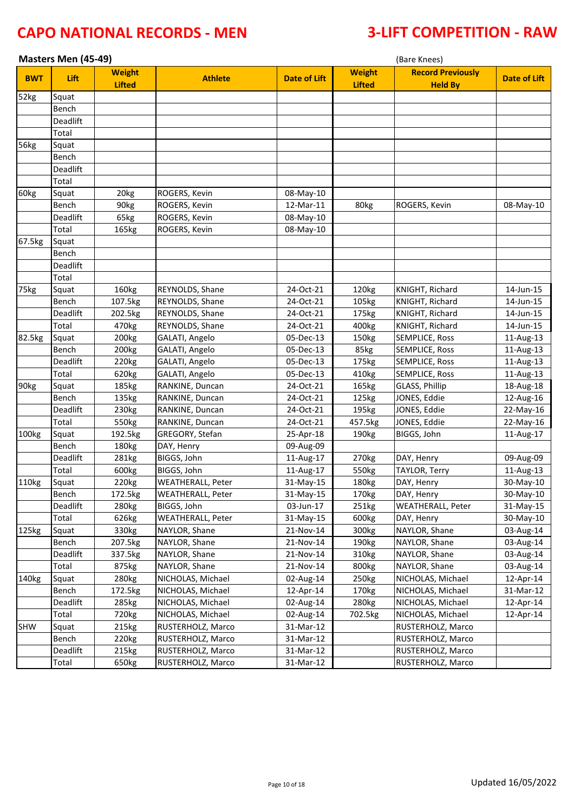|                   | Masters Men (45-49)<br>(Bare Knees) |                                |                          |                     |                                |                                            |                     |
|-------------------|-------------------------------------|--------------------------------|--------------------------|---------------------|--------------------------------|--------------------------------------------|---------------------|
| <b>BWT</b>        | Lift                                | <b>Weight</b><br><b>Lifted</b> | <b>Athlete</b>           | <b>Date of Lift</b> | <b>Weight</b><br><b>Lifted</b> | <b>Record Previously</b><br><b>Held By</b> | <b>Date of Lift</b> |
| 52kg              | Squat                               |                                |                          |                     |                                |                                            |                     |
|                   | Bench                               |                                |                          |                     |                                |                                            |                     |
|                   | Deadlift                            |                                |                          |                     |                                |                                            |                     |
|                   | Total                               |                                |                          |                     |                                |                                            |                     |
| 56kg              | Squat                               |                                |                          |                     |                                |                                            |                     |
|                   | Bench                               |                                |                          |                     |                                |                                            |                     |
|                   | Deadlift                            |                                |                          |                     |                                |                                            |                     |
|                   | Total                               |                                |                          |                     |                                |                                            |                     |
| 60kg              | Squat                               | 20 <sub>kg</sub>               | ROGERS, Kevin            | 08-May-10           |                                |                                            |                     |
|                   | Bench                               | 90kg                           | ROGERS, Kevin            | 12-Mar-11           | 80kg                           | ROGERS, Kevin                              | 08-May-10           |
|                   | Deadlift                            | 65kg                           | ROGERS, Kevin            | 08-May-10           |                                |                                            |                     |
|                   | Total                               | 165kg                          | ROGERS, Kevin            | 08-May-10           |                                |                                            |                     |
| 67.5kg            | Squat                               |                                |                          |                     |                                |                                            |                     |
|                   | Bench                               |                                |                          |                     |                                |                                            |                     |
|                   | <b>Deadlift</b>                     |                                |                          |                     |                                |                                            |                     |
|                   | Total                               |                                |                          |                     |                                |                                            |                     |
| 75kg              | Squat                               | 160kg                          | REYNOLDS, Shane          | 24-Oct-21           | 120kg                          | KNIGHT, Richard                            | 14-Jun-15           |
|                   | Bench                               | 107.5kg                        | REYNOLDS, Shane          | 24-Oct-21           | 105kg                          | KNIGHT, Richard                            | 14-Jun-15           |
|                   | Deadlift                            | 202.5kg                        | REYNOLDS, Shane          | 24-Oct-21           | 175kg                          | KNIGHT, Richard                            | 14-Jun-15           |
|                   | Total                               | 470kg                          | REYNOLDS, Shane          | 24-Oct-21           | 400kg                          | KNIGHT, Richard                            | 14-Jun-15           |
| 82.5kg            | Squat                               | 200kg                          | GALATI, Angelo           | 05-Dec-13           | 150kg                          | <b>SEMPLICE, Ross</b>                      | 11-Aug-13           |
|                   | Bench                               | 200kg                          | GALATI, Angelo           | 05-Dec-13           | 85kg                           | <b>SEMPLICE, Ross</b>                      | 11-Aug-13           |
|                   | Deadlift                            | 220kg                          | GALATI, Angelo           | 05-Dec-13           | 175kg                          | SEMPLICE, Ross                             | 11-Aug-13           |
|                   | Total                               | 620kg                          | GALATI, Angelo           | 05-Dec-13           | 410kg                          | SEMPLICE, Ross                             | 11-Aug-13           |
| 90kg              | Squat                               | 185kg                          | RANKINE, Duncan          | 24-Oct-21           | 165kg                          | GLASS, Phillip                             | 18-Aug-18           |
|                   | Bench                               | 135kg                          | RANKINE, Duncan          | 24-Oct-21           | 125kg                          | JONES, Eddie                               | 12-Aug-16           |
|                   | Deadlift                            | 230kg                          | RANKINE, Duncan          | 24-Oct-21           | 195kg                          | JONES, Eddie                               | 22-May-16           |
|                   | Total                               | 550kg                          | RANKINE, Duncan          | 24-Oct-21           | 457.5kg                        | JONES, Eddie                               | 22-May-16           |
| 100 <sub>kg</sub> | Squat                               | 192.5kg                        | GREGORY, Stefan          | 25-Apr-18           | 190kg                          | BIGGS, John                                | 11-Aug-17           |
|                   | Bench                               | 180kg                          | DAY, Henry               | 09-Aug-09           |                                |                                            |                     |
|                   | Deadlift                            | 281kg                          | BIGGS, John              | 11-Aug-17           | 270kg                          | DAY, Henry                                 | 09-Aug-09           |
|                   | Total                               | 600kg                          | BIGGS, John              | 11-Aug-17           | 550kg                          | TAYLOR, Terry                              | 11-Aug-13           |
| 110kg             | Squat                               | 220kg                          | <b>WEATHERALL, Peter</b> | 31-May-15           | 180kg                          | DAY, Henry                                 | 30-May-10           |
|                   | Bench                               | 172.5kg                        | <b>WEATHERALL, Peter</b> | 31-May-15           | 170kg                          | DAY, Henry                                 | 30-May-10           |
|                   | Deadlift                            | 280kg                          | BIGGS, John              | 03-Jun-17           | 251kg                          | WEATHERALL, Peter                          | 31-May-15           |
|                   | Total                               | 626kg                          | <b>WEATHERALL, Peter</b> | 31-May-15           | 600kg                          | DAY, Henry                                 | 30-May-10           |
| 125kg             | Squat                               | 330kg                          | NAYLOR, Shane            | 21-Nov-14           | 300kg                          | NAYLOR, Shane                              | 03-Aug-14           |
|                   | Bench                               | 207.5kg                        | NAYLOR, Shane            | 21-Nov-14           | 190kg                          | NAYLOR, Shane                              | 03-Aug-14           |
|                   | Deadlift                            | 337.5kg                        | NAYLOR, Shane            | 21-Nov-14           | 310kg                          | NAYLOR, Shane                              | 03-Aug-14           |
|                   | Total                               | 875kg                          | NAYLOR, Shane            | 21-Nov-14           | 800kg                          | NAYLOR, Shane                              | 03-Aug-14           |
| 140kg             | Squat                               | 280kg                          | NICHOLAS, Michael        | 02-Aug-14           | 250kg                          | NICHOLAS, Michael                          | 12-Apr-14           |
|                   | Bench                               | 172.5kg                        | NICHOLAS, Michael        | 12-Apr-14           | 170kg                          | NICHOLAS, Michael                          | 31-Mar-12           |
|                   | Deadlift                            | 285kg                          | NICHOLAS, Michael        | 02-Aug-14           | 280kg                          | NICHOLAS, Michael                          | 12-Apr-14           |
|                   | Total                               | 720 <sub>kg</sub>              | NICHOLAS, Michael        | 02-Aug-14           | 702.5kg                        | NICHOLAS, Michael                          | 12-Apr-14           |
| <b>SHW</b>        | Squat                               | 215kg                          | RUSTERHOLZ, Marco        | 31-Mar-12           |                                | RUSTERHOLZ, Marco                          |                     |
|                   | Bench                               | 220kg                          | RUSTERHOLZ, Marco        | 31-Mar-12           |                                | RUSTERHOLZ, Marco                          |                     |
|                   | Deadlift                            | 215kg                          | RUSTERHOLZ, Marco        | 31-Mar-12           |                                | RUSTERHOLZ, Marco                          |                     |
|                   | Total                               | 650kg                          | RUSTERHOLZ, Marco        | 31-Mar-12           |                                | RUSTERHOLZ, Marco                          |                     |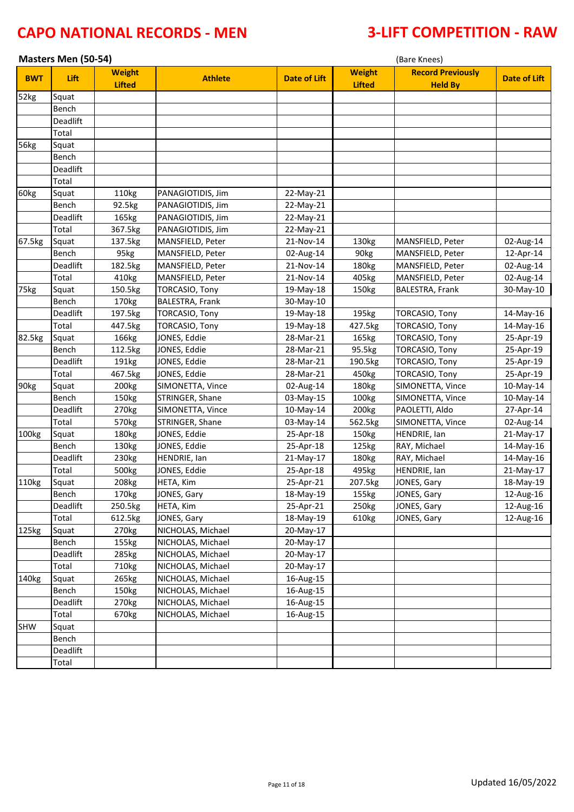|                   | Masters Men (50-54)<br>(Bare Knees) |                                |                        |                     |                                |                                            |                     |
|-------------------|-------------------------------------|--------------------------------|------------------------|---------------------|--------------------------------|--------------------------------------------|---------------------|
| <b>BWT</b>        | Lift                                | <b>Weight</b><br><b>Lifted</b> | <b>Athlete</b>         | <b>Date of Lift</b> | <b>Weight</b><br><b>Lifted</b> | <b>Record Previously</b><br><b>Held By</b> | <b>Date of Lift</b> |
| 52kg              | Squat                               |                                |                        |                     |                                |                                            |                     |
|                   | Bench                               |                                |                        |                     |                                |                                            |                     |
|                   | Deadlift                            |                                |                        |                     |                                |                                            |                     |
|                   | Total                               |                                |                        |                     |                                |                                            |                     |
| 56kg              | Squat                               |                                |                        |                     |                                |                                            |                     |
|                   | Bench                               |                                |                        |                     |                                |                                            |                     |
|                   | <b>Deadlift</b>                     |                                |                        |                     |                                |                                            |                     |
|                   | Total                               |                                |                        |                     |                                |                                            |                     |
| 60kg              | Squat                               | 110kg                          | PANAGIOTIDIS, Jim      | 22-May-21           |                                |                                            |                     |
|                   | Bench                               | 92.5kg                         | PANAGIOTIDIS, Jim      | 22-May-21           |                                |                                            |                     |
|                   | Deadlift                            | 165kg                          | PANAGIOTIDIS, Jim      | 22-May-21           |                                |                                            |                     |
|                   | Total                               | 367.5kg                        | PANAGIOTIDIS, Jim      | 22-May-21           |                                |                                            |                     |
| 67.5kg            | Squat                               | 137.5kg                        | MANSFIELD, Peter       | 21-Nov-14           | 130kg                          | MANSFIELD, Peter                           | 02-Aug-14           |
|                   | Bench                               | 95kg                           | MANSFIELD, Peter       | 02-Aug-14           | 90kg                           | MANSFIELD, Peter                           | 12-Apr-14           |
|                   | <b>Deadlift</b>                     | 182.5kg                        | MANSFIELD, Peter       | 21-Nov-14           | 180kg                          | MANSFIELD, Peter                           | 02-Aug-14           |
|                   | Total                               | 410kg                          | MANSFIELD, Peter       | 21-Nov-14           | 405kg                          | MANSFIELD, Peter                           | 02-Aug-14           |
| 75kg              | Squat                               | 150.5kg                        | TORCASIO, Tony         | 19-May-18           | 150kg                          | BALESTRA, Frank                            | 30-May-10           |
|                   | Bench                               | 170kg                          | <b>BALESTRA, Frank</b> | 30-May-10           |                                |                                            |                     |
|                   | <b>Deadlift</b>                     | 197.5kg                        | TORCASIO, Tony         | 19-May-18           | 195kg                          | TORCASIO, Tony                             | 14-May-16           |
|                   | Total                               | 447.5kg                        | TORCASIO, Tony         | 19-May-18           | 427.5kg                        | <b>TORCASIO, Tony</b>                      | 14-May-16           |
| 82.5kg            | Squat                               | 166kg                          | JONES, Eddie           | 28-Mar-21           | 165kg                          | TORCASIO, Tony                             | 25-Apr-19           |
|                   | Bench                               | 112.5kg                        | JONES, Eddie           | 28-Mar-21           | 95.5kg                         | TORCASIO, Tony                             | 25-Apr-19           |
|                   | Deadlift                            | 191kg                          | JONES, Eddie           | 28-Mar-21           | 190.5kg                        | TORCASIO, Tony                             | 25-Apr-19           |
|                   | Total                               | 467.5kg                        | JONES, Eddie           | 28-Mar-21           | 450kg                          | TORCASIO, Tony                             | 25-Apr-19           |
| 90kg              | Squat                               | 200kg                          | SIMONETTA, Vince       | 02-Aug-14           | 180kg                          | SIMONETTA, Vince                           | 10-May-14           |
|                   | Bench                               | 150kg                          | STRINGER, Shane        | 03-May-15           | 100kg                          | SIMONETTA, Vince                           | 10-May-14           |
|                   | Deadlift                            | 270kg                          | SIMONETTA, Vince       | 10-May-14           | 200kg                          | PAOLETTI, Aldo                             | 27-Apr-14           |
|                   | Total                               | 570kg                          | STRINGER, Shane        | 03-May-14           | 562.5kg                        | SIMONETTA, Vince                           | 02-Aug-14           |
| 100 <sub>kg</sub> | Squat                               | 180kg                          | JONES, Eddie           | 25-Apr-18           | 150kg                          | HENDRIE, Ian                               | 21-May-17           |
|                   | Bench                               | 130kg                          | JONES, Eddie           | 25-Apr-18           | 125kg                          | RAY, Michael                               | 14-May-16           |
|                   | Deadlift                            | 230kg                          | HENDRIE, Ian           | 21-May-17           | 180kg                          | RAY, Michael                               | 14-May-16           |
|                   | Total                               | 500kg                          | JONES, Eddie           | 25-Apr-18           | 495kg                          | HENDRIE, Ian                               | 21-May-17           |
| 110kg             | Squat                               | 208kg                          | HETA, Kim              | 25-Apr-21           | 207.5kg                        | JONES, Gary                                | 18-May-19           |
|                   | Bench                               | 170kg                          | JONES, Gary            | 18-May-19           | 155kg                          | JONES, Gary                                | 12-Aug-16           |
|                   | Deadlift                            | 250.5kg                        | HETA, Kim              | 25-Apr-21           | 250kg                          | JONES, Gary                                | 12-Aug-16           |
|                   | Total                               | 612.5kg                        | JONES, Gary            | 18-May-19           | 610kg                          | JONES, Gary                                | 12-Aug-16           |
| 125kg             | Squat                               | 270kg                          | NICHOLAS, Michael      | 20-May-17           |                                |                                            |                     |
|                   | Bench                               | 155kg                          | NICHOLAS, Michael      | 20-May-17           |                                |                                            |                     |
|                   | Deadlift                            | 285kg                          | NICHOLAS, Michael      | 20-May-17           |                                |                                            |                     |
|                   | Total                               | 710kg                          | NICHOLAS, Michael      | 20-May-17           |                                |                                            |                     |
| 140kg             | Squat                               | 265kg                          | NICHOLAS, Michael      | 16-Aug-15           |                                |                                            |                     |
|                   | Bench                               | 150kg                          | NICHOLAS, Michael      | 16-Aug-15           |                                |                                            |                     |
|                   | Deadlift                            | 270kg                          | NICHOLAS, Michael      | 16-Aug-15           |                                |                                            |                     |
|                   | Total                               | 670kg                          | NICHOLAS, Michael      | 16-Aug-15           |                                |                                            |                     |
| <b>SHW</b>        | Squat                               |                                |                        |                     |                                |                                            |                     |
|                   | Bench                               |                                |                        |                     |                                |                                            |                     |
|                   | Deadlift                            |                                |                        |                     |                                |                                            |                     |
|                   | Total                               |                                |                        |                     |                                |                                            |                     |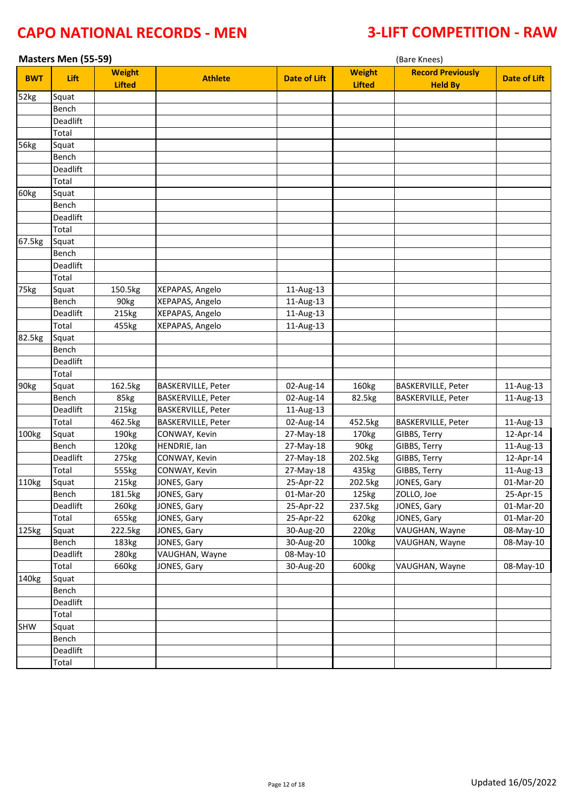|            | Masters Men (55-59)<br>(Bare Knees) |                                |                    |                     |                                |                                            |                     |
|------------|-------------------------------------|--------------------------------|--------------------|---------------------|--------------------------------|--------------------------------------------|---------------------|
| <b>BWT</b> | Lift                                | <b>Weight</b><br><b>Lifted</b> | <b>Athlete</b>     | <b>Date of Lift</b> | <b>Weight</b><br><b>Lifted</b> | <b>Record Previously</b><br><b>Held By</b> | <b>Date of Lift</b> |
| 52kg       | Squat                               |                                |                    |                     |                                |                                            |                     |
|            | Bench                               |                                |                    |                     |                                |                                            |                     |
|            | Deadlift                            |                                |                    |                     |                                |                                            |                     |
|            | Total                               |                                |                    |                     |                                |                                            |                     |
| 56kg       | Squat                               |                                |                    |                     |                                |                                            |                     |
|            | Bench                               |                                |                    |                     |                                |                                            |                     |
|            | Deadlift                            |                                |                    |                     |                                |                                            |                     |
|            | Total                               |                                |                    |                     |                                |                                            |                     |
| 60kg       | Squat                               |                                |                    |                     |                                |                                            |                     |
|            | Bench                               |                                |                    |                     |                                |                                            |                     |
|            | Deadlift                            |                                |                    |                     |                                |                                            |                     |
|            | Total                               |                                |                    |                     |                                |                                            |                     |
| 67.5kg     | Squat                               |                                |                    |                     |                                |                                            |                     |
|            | Bench                               |                                |                    |                     |                                |                                            |                     |
|            | <b>Deadlift</b>                     |                                |                    |                     |                                |                                            |                     |
|            | Total                               |                                |                    |                     |                                |                                            |                     |
| 75kg       | Squat                               | 150.5kg                        | XEPAPAS, Angelo    | 11-Aug-13           |                                |                                            |                     |
|            | Bench                               | 90kg                           | XEPAPAS, Angelo    | 11-Aug-13           |                                |                                            |                     |
|            | Deadlift                            | 215kg                          | XEPAPAS, Angelo    | 11-Aug-13           |                                |                                            |                     |
|            | Total                               | 455kg                          | XEPAPAS, Angelo    | 11-Aug-13           |                                |                                            |                     |
| 82.5kg     | Squat                               |                                |                    |                     |                                |                                            |                     |
|            | Bench                               |                                |                    |                     |                                |                                            |                     |
|            | Deadlift                            |                                |                    |                     |                                |                                            |                     |
|            | Total                               |                                |                    |                     |                                |                                            |                     |
| 90kg       | Squat                               | 162.5kg                        | BASKERVILLE, Peter | 02-Aug-14           | 160kg                          | BASKERVILLE, Peter                         | 11-Aug-13           |
|            | Bench                               | 85kg                           | BASKERVILLE, Peter | 02-Aug-14           | 82.5kg                         | BASKERVILLE, Peter                         | 11-Aug-13           |
|            | Deadlift                            | 215kg                          | BASKERVILLE, Peter | 11-Aug-13           |                                |                                            |                     |
|            | Total                               | 462.5kg                        | BASKERVILLE, Peter | 02-Aug-14           | 452.5kg                        | BASKERVILLE, Peter                         | 11-Aug-13           |
| 100kg      | Squat                               | 190kg                          | CONWAY, Kevin      | 27-May-18           | 170kg                          | GIBBS, Terry                               | 12-Apr-14           |
|            | Bench                               | 120kg                          | HENDRIE, Ian       | 27-May-18           | 90kg                           | GIBBS, Terry                               | 11-Aug-13           |
|            | Deadlift                            | 275kg                          | CONWAY, Kevin      | 27-May-18           | 202.5kg                        | GIBBS, Terry                               | 12-Apr-14           |
|            | Total                               | 555kg                          | CONWAY, Kevin      | 27-May-18           | 435kg                          | GIBBS, Terry                               | 11-Aug-13           |
| 110kg      | Squat                               | 215kg                          | JONES, Gary        | 25-Apr-22           | 202.5kg                        | JONES, Gary                                | 01-Mar-20           |
|            | Bench                               | 181.5kg                        | JONES, Gary        | 01-Mar-20           | 125kg                          | ZOLLO, Joe                                 | 25-Apr-15           |
|            | Deadlift                            | 260kg                          | JONES, Gary        | 25-Apr-22           | 237.5kg                        | JONES, Gary                                | 01-Mar-20           |
|            | Total                               | 655kg                          | JONES, Gary        | 25-Apr-22           | 620kg                          | JONES, Gary                                | 01-Mar-20           |
| 125kg      | Squat                               | 222.5kg                        | JONES, Gary        | 30-Aug-20           | 220kg                          | VAUGHAN, Wayne                             | 08-May-10           |
|            | Bench                               | 183kg                          | JONES, Gary        | 30-Aug-20           | 100kg                          | VAUGHAN, Wayne                             | 08-May-10           |
|            | Deadlift                            | 280kg                          | VAUGHAN, Wayne     | 08-May-10           |                                |                                            |                     |
|            | Total                               | 660kg                          | JONES, Gary        | 30-Aug-20           | 600kg                          | VAUGHAN, Wayne                             | 08-May-10           |
| 140kg      | Squat                               |                                |                    |                     |                                |                                            |                     |
|            | Bench                               |                                |                    |                     |                                |                                            |                     |
|            | Deadlift                            |                                |                    |                     |                                |                                            |                     |
|            | Total                               |                                |                    |                     |                                |                                            |                     |
| SHW        | Squat                               |                                |                    |                     |                                |                                            |                     |
|            | Bench                               |                                |                    |                     |                                |                                            |                     |
|            | Deadlift                            |                                |                    |                     |                                |                                            |                     |
|            | Total                               |                                |                    |                     |                                |                                            |                     |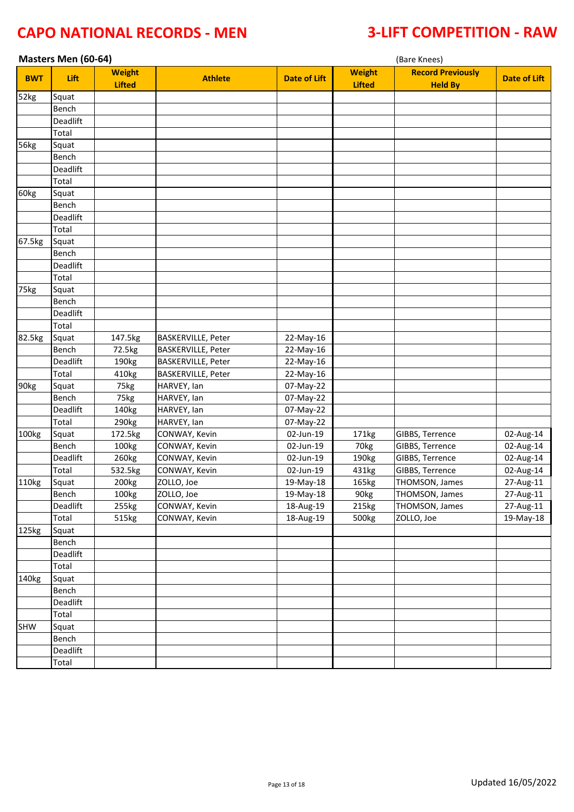|                   | Masters Men (60-64) |                                |                           |                     | (Bare Knees)                   |                                            |                     |  |  |
|-------------------|---------------------|--------------------------------|---------------------------|---------------------|--------------------------------|--------------------------------------------|---------------------|--|--|
| <b>BWT</b>        | Lift                | <b>Weight</b><br><b>Lifted</b> | <b>Athlete</b>            | <b>Date of Lift</b> | <b>Weight</b><br><b>Lifted</b> | <b>Record Previously</b><br><b>Held By</b> | <b>Date of Lift</b> |  |  |
| 52kg              | Squat               |                                |                           |                     |                                |                                            |                     |  |  |
|                   | Bench               |                                |                           |                     |                                |                                            |                     |  |  |
|                   | Deadlift            |                                |                           |                     |                                |                                            |                     |  |  |
|                   | Total               |                                |                           |                     |                                |                                            |                     |  |  |
| 56kg              | Squat               |                                |                           |                     |                                |                                            |                     |  |  |
|                   | Bench               |                                |                           |                     |                                |                                            |                     |  |  |
|                   | Deadlift            |                                |                           |                     |                                |                                            |                     |  |  |
|                   | Total               |                                |                           |                     |                                |                                            |                     |  |  |
| 60kg              | Squat               |                                |                           |                     |                                |                                            |                     |  |  |
|                   | Bench               |                                |                           |                     |                                |                                            |                     |  |  |
|                   | Deadlift            |                                |                           |                     |                                |                                            |                     |  |  |
|                   | Total               |                                |                           |                     |                                |                                            |                     |  |  |
| 67.5kg            | Squat               |                                |                           |                     |                                |                                            |                     |  |  |
|                   | Bench               |                                |                           |                     |                                |                                            |                     |  |  |
|                   | Deadlift            |                                |                           |                     |                                |                                            |                     |  |  |
|                   | Total               |                                |                           |                     |                                |                                            |                     |  |  |
| 75kg              | Squat               |                                |                           |                     |                                |                                            |                     |  |  |
|                   | Bench               |                                |                           |                     |                                |                                            |                     |  |  |
|                   | Deadlift            |                                |                           |                     |                                |                                            |                     |  |  |
|                   | Total               |                                |                           |                     |                                |                                            |                     |  |  |
| 82.5kg            | Squat               | 147.5kg                        | BASKERVILLE, Peter        | 22-May-16           |                                |                                            |                     |  |  |
|                   | Bench               | 72.5kg                         | <b>BASKERVILLE, Peter</b> | 22-May-16           |                                |                                            |                     |  |  |
|                   | Deadlift            | 190kg                          | <b>BASKERVILLE, Peter</b> | 22-May-16           |                                |                                            |                     |  |  |
|                   | Total               | 410kg                          | <b>BASKERVILLE, Peter</b> | 22-May-16           |                                |                                            |                     |  |  |
| 90kg              | Squat               | 75kg                           | HARVEY, Ian               | 07-May-22           |                                |                                            |                     |  |  |
|                   | Bench               | 75kg                           | HARVEY, Ian               | 07-May-22           |                                |                                            |                     |  |  |
|                   | Deadlift            | 140kg                          | HARVEY, Ian               | 07-May-22           |                                |                                            |                     |  |  |
|                   | Total               | 290kg                          | HARVEY, Ian               | 07-May-22           |                                |                                            |                     |  |  |
| 100 <sub>kg</sub> | Squat               | 172.5kg                        | CONWAY, Kevin             | 02-Jun-19           | 171kg                          | GIBBS, Terrence                            | 02-Aug-14           |  |  |
|                   | Bench               | 100kg                          | CONWAY, Kevin             | 02-Jun-19           | 70kg                           | GIBBS, Terrence                            | 02-Aug-14           |  |  |
|                   | Deadlift            | 260kg                          | CONWAY, Kevin             | 02-Jun-19           | 190kg                          | GIBBS, Terrence                            | 02-Aug-14           |  |  |
|                   | Total               | 532.5kg                        | CONWAY, Kevin             | 02-Jun-19           | 431kg                          | GIBBS, Terrence                            | 02-Aug-14           |  |  |
| 110kg             | Squat               | 200kg                          | ZOLLO, Joe                | 19-May-18           | 165kg                          | THOMSON, James                             | 27-Aug-11           |  |  |
|                   | Bench               | 100kg                          | ZOLLO, Joe                | 19-May-18           | 90kg                           | THOMSON, James                             | 27-Aug-11           |  |  |
|                   | Deadlift            | 255kg                          | CONWAY, Kevin             | 18-Aug-19           | 215kg                          | THOMSON, James                             | 27-Aug-11           |  |  |
|                   | Total               | 515kg                          | CONWAY, Kevin             | 18-Aug-19           | 500kg                          | ZOLLO, Joe                                 | 19-May-18           |  |  |
| 125kg             | Squat               |                                |                           |                     |                                |                                            |                     |  |  |
|                   | Bench               |                                |                           |                     |                                |                                            |                     |  |  |
|                   | Deadlift            |                                |                           |                     |                                |                                            |                     |  |  |
|                   | Total               |                                |                           |                     |                                |                                            |                     |  |  |
| 140kg             | Squat               |                                |                           |                     |                                |                                            |                     |  |  |
|                   | Bench               |                                |                           |                     |                                |                                            |                     |  |  |
|                   | Deadlift            |                                |                           |                     |                                |                                            |                     |  |  |
|                   | Total               |                                |                           |                     |                                |                                            |                     |  |  |
| SHW               | Squat               |                                |                           |                     |                                |                                            |                     |  |  |
|                   | Bench               |                                |                           |                     |                                |                                            |                     |  |  |
|                   | Deadlift            |                                |                           |                     |                                |                                            |                     |  |  |
|                   | Total               |                                |                           |                     |                                |                                            |                     |  |  |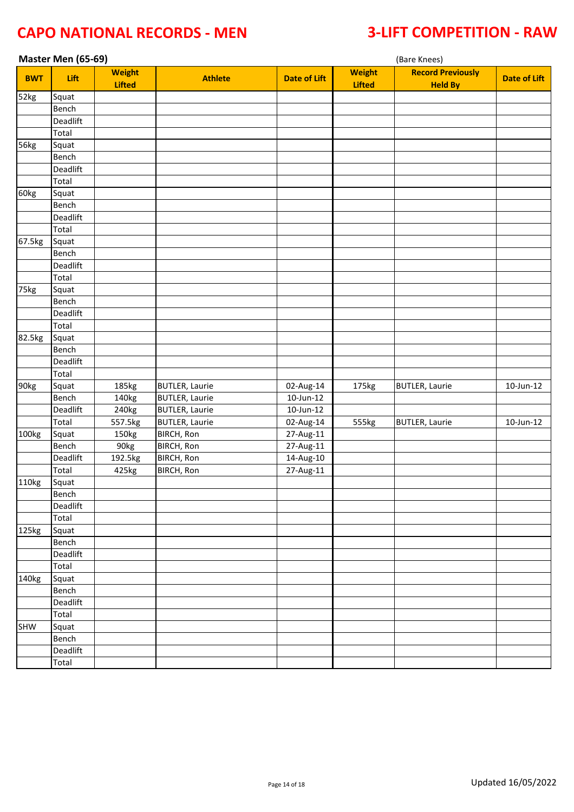|            | Master Men (65-69) |               |                       |                         | (Bare Knees)  |                          |                     |  |
|------------|--------------------|---------------|-----------------------|-------------------------|---------------|--------------------------|---------------------|--|
| <b>BWT</b> | Lift               | <b>Weight</b> | <b>Athlete</b>        | <b>Date of Lift</b>     | <b>Weight</b> | <b>Record Previously</b> | <b>Date of Lift</b> |  |
|            |                    | <b>Lifted</b> |                       |                         | <b>Lifted</b> | <b>Held By</b>           |                     |  |
| 52kg       | Squat              |               |                       |                         |               |                          |                     |  |
|            | Bench              |               |                       |                         |               |                          |                     |  |
|            | Deadlift           |               |                       |                         |               |                          |                     |  |
|            | Total              |               |                       |                         |               |                          |                     |  |
| 56kg       | Squat              |               |                       |                         |               |                          |                     |  |
|            | Bench              |               |                       |                         |               |                          |                     |  |
|            | Deadlift           |               |                       |                         |               |                          |                     |  |
|            | Total<br>Squat     |               |                       |                         |               |                          |                     |  |
| 60kg       | Bench              |               |                       |                         |               |                          |                     |  |
|            | Deadlift           |               |                       |                         |               |                          |                     |  |
|            | Total              |               |                       |                         |               |                          |                     |  |
| 67.5kg     | Squat              |               |                       |                         |               |                          |                     |  |
|            | Bench              |               |                       |                         |               |                          |                     |  |
|            | Deadlift           |               |                       |                         |               |                          |                     |  |
|            | Total              |               |                       |                         |               |                          |                     |  |
| 75kg       | Squat              |               |                       |                         |               |                          |                     |  |
|            | Bench              |               |                       |                         |               |                          |                     |  |
|            | Deadlift           |               |                       |                         |               |                          |                     |  |
|            | Total              |               |                       |                         |               |                          |                     |  |
| 82.5kg     | Squat              |               |                       |                         |               |                          |                     |  |
|            | Bench              |               |                       |                         |               |                          |                     |  |
|            | Deadlift           |               |                       |                         |               |                          |                     |  |
|            | Total              |               |                       |                         |               |                          |                     |  |
| 90kg       | Squat              | 185kg         | <b>BUTLER, Laurie</b> | 02-Aug-14               | 175kg         | <b>BUTLER, Laurie</b>    | 10-Jun-12           |  |
|            | Bench              | 140kg         | <b>BUTLER, Laurie</b> | $10$ -Jun-12            |               |                          |                     |  |
|            | Deadlift           | 240kg         | <b>BUTLER, Laurie</b> | $10$ -Jun- $12$         |               |                          |                     |  |
|            | Total              | 557.5kg       | <b>BUTLER, Laurie</b> | 02-Aug-14               | 555kg         | <b>BUTLER, Laurie</b>    | 10-Jun-12           |  |
| 100kg      | Squat              | 150kg         | <b>BIRCH, Ron</b>     | 27-Aug-11               |               |                          |                     |  |
|            | Bench              | 90kg          | <b>BIRCH, Ron</b>     | $\overline{27}$ -Aug-11 |               |                          |                     |  |
|            | Deadlift           | 192.5kg       | <b>BIRCH, Ron</b>     | 14-Aug-10               |               |                          |                     |  |
|            | Total              | 425kg         | <b>BIRCH, Ron</b>     | 27-Aug-11               |               |                          |                     |  |
| 110kg      | Squat              |               |                       |                         |               |                          |                     |  |
|            | Bench              |               |                       |                         |               |                          |                     |  |
|            | Deadlift           |               |                       |                         |               |                          |                     |  |
|            | Total              |               |                       |                         |               |                          |                     |  |
| 125kg      | Squat              |               |                       |                         |               |                          |                     |  |
|            | Bench              |               |                       |                         |               |                          |                     |  |
|            | Deadlift           |               |                       |                         |               |                          |                     |  |
|            | Total              |               |                       |                         |               |                          |                     |  |
| 140kg      | Squat              |               |                       |                         |               |                          |                     |  |
|            | Bench              |               |                       |                         |               |                          |                     |  |
|            | Deadlift           |               |                       |                         |               |                          |                     |  |
|            | Total              |               |                       |                         |               |                          |                     |  |
| SHW        | Squat              |               |                       |                         |               |                          |                     |  |
|            | Bench              |               |                       |                         |               |                          |                     |  |
|            | Deadlift           |               |                       |                         |               |                          |                     |  |
|            | Total              |               |                       |                         |               |                          |                     |  |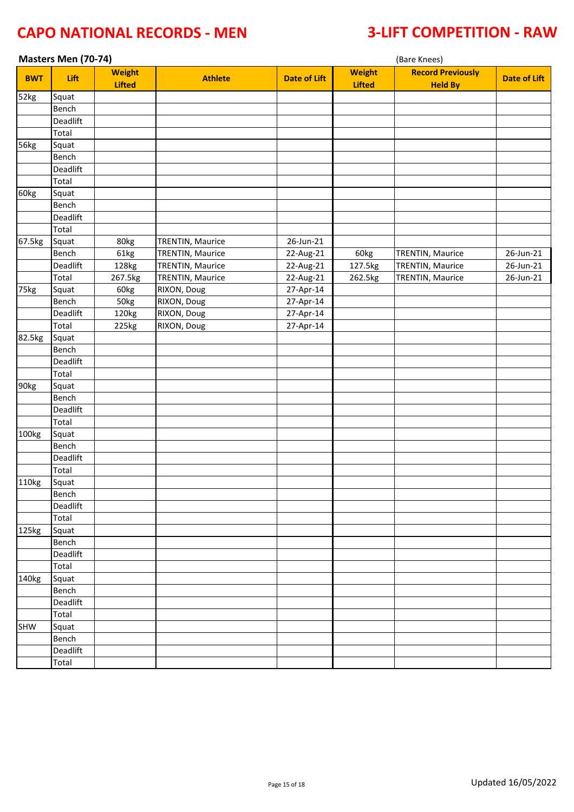|            | Masters Men (70-74) |                                |                         |                     |                                | (Bare Knees)                               |                     |  |  |
|------------|---------------------|--------------------------------|-------------------------|---------------------|--------------------------------|--------------------------------------------|---------------------|--|--|
| <b>BWT</b> | Lift                | <b>Weight</b><br><b>Lifted</b> | <b>Athlete</b>          | <b>Date of Lift</b> | <b>Weight</b><br><b>Lifted</b> | <b>Record Previously</b><br><b>Held By</b> | <b>Date of Lift</b> |  |  |
| 52kg       | Squat               |                                |                         |                     |                                |                                            |                     |  |  |
|            | Bench               |                                |                         |                     |                                |                                            |                     |  |  |
|            | Deadlift            |                                |                         |                     |                                |                                            |                     |  |  |
|            | Total               |                                |                         |                     |                                |                                            |                     |  |  |
| 56kg       | Squat               |                                |                         |                     |                                |                                            |                     |  |  |
|            | Bench               |                                |                         |                     |                                |                                            |                     |  |  |
|            | Deadlift            |                                |                         |                     |                                |                                            |                     |  |  |
|            | Total               |                                |                         |                     |                                |                                            |                     |  |  |
| 60kg       | Squat               |                                |                         |                     |                                |                                            |                     |  |  |
|            | Bench               |                                |                         |                     |                                |                                            |                     |  |  |
|            | Deadlift            |                                |                         |                     |                                |                                            |                     |  |  |
|            | Total               |                                |                         |                     |                                |                                            |                     |  |  |
| 67.5kg     | Squat               | 80kg                           | <b>TRENTIN, Maurice</b> | 26-Jun-21           |                                |                                            |                     |  |  |
|            | Bench               | 61kg                           | <b>TRENTIN, Maurice</b> | 22-Aug-21           | 60kg                           | <b>TRENTIN, Maurice</b>                    | 26-Jun-21           |  |  |
|            | Deadlift            | 128kg                          | <b>TRENTIN, Maurice</b> | 22-Aug-21           | 127.5kg                        | <b>TRENTIN, Maurice</b>                    | 26-Jun-21           |  |  |
|            | Total               | 267.5kg                        | <b>TRENTIN, Maurice</b> | 22-Aug-21           | 262.5kg                        | <b>TRENTIN, Maurice</b>                    | $26$ -Jun-21        |  |  |
| 75kg       | Squat               | 60kg                           | RIXON, Doug             | 27-Apr-14           |                                |                                            |                     |  |  |
|            | Bench               | 50kg                           | RIXON, Doug             | 27-Apr-14           |                                |                                            |                     |  |  |
|            | Deadlift            | 120kg                          | RIXON, Doug             | 27-Apr-14           |                                |                                            |                     |  |  |
|            | Total               | 225kg                          | RIXON, Doug             | 27-Apr-14           |                                |                                            |                     |  |  |
| 82.5kg     | Squat               |                                |                         |                     |                                |                                            |                     |  |  |
|            | Bench               |                                |                         |                     |                                |                                            |                     |  |  |
|            | Deadlift            |                                |                         |                     |                                |                                            |                     |  |  |
|            | Total               |                                |                         |                     |                                |                                            |                     |  |  |
| 90kg       | Squat               |                                |                         |                     |                                |                                            |                     |  |  |
|            | Bench               |                                |                         |                     |                                |                                            |                     |  |  |
|            | Deadlift            |                                |                         |                     |                                |                                            |                     |  |  |
|            | Total               |                                |                         |                     |                                |                                            |                     |  |  |
| 100kg      | Squat               |                                |                         |                     |                                |                                            |                     |  |  |
|            | Bench               |                                |                         |                     |                                |                                            |                     |  |  |
|            | Deadlift            |                                |                         |                     |                                |                                            |                     |  |  |
|            | Total               |                                |                         |                     |                                |                                            |                     |  |  |
| 110kg      | Squat               |                                |                         |                     |                                |                                            |                     |  |  |
|            | Bench               |                                |                         |                     |                                |                                            |                     |  |  |
|            | Deadlift            |                                |                         |                     |                                |                                            |                     |  |  |
|            | Total               |                                |                         |                     |                                |                                            |                     |  |  |
| 125kg      | Squat               |                                |                         |                     |                                |                                            |                     |  |  |
|            | Bench               |                                |                         |                     |                                |                                            |                     |  |  |
|            | Deadlift            |                                |                         |                     |                                |                                            |                     |  |  |
|            | Total               |                                |                         |                     |                                |                                            |                     |  |  |
| 140kg      | Squat               |                                |                         |                     |                                |                                            |                     |  |  |
|            | Bench               |                                |                         |                     |                                |                                            |                     |  |  |
|            | Deadlift            |                                |                         |                     |                                |                                            |                     |  |  |
|            | Total               |                                |                         |                     |                                |                                            |                     |  |  |
| SHW        | Squat               |                                |                         |                     |                                |                                            |                     |  |  |
|            | Bench               |                                |                         |                     |                                |                                            |                     |  |  |
|            | Deadlift            |                                |                         |                     |                                |                                            |                     |  |  |
|            | Total               |                                |                         |                     |                                |                                            |                     |  |  |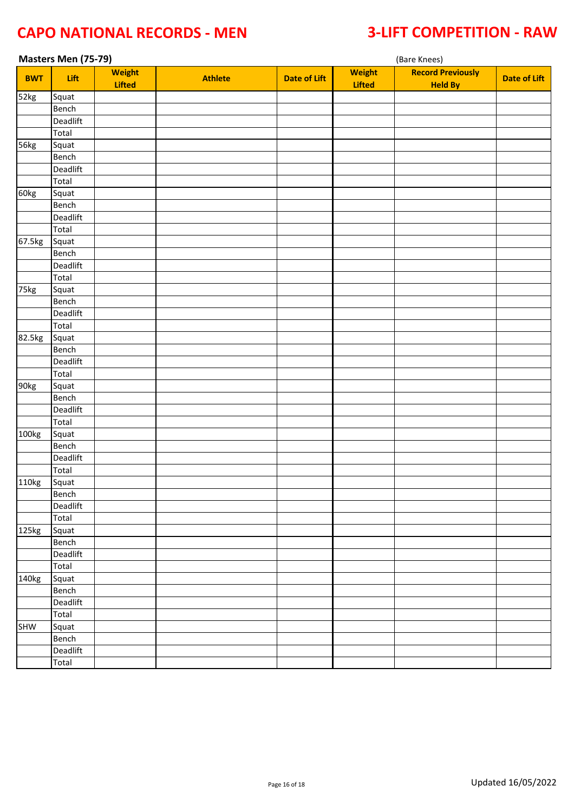|            | Masters Men (75-79) |               |                |                     |               | (Bare Knees)             |                     |  |
|------------|---------------------|---------------|----------------|---------------------|---------------|--------------------------|---------------------|--|
| <b>BWT</b> | Lift                | <b>Weight</b> | <b>Athlete</b> | <b>Date of Lift</b> | <b>Weight</b> | <b>Record Previously</b> | <b>Date of Lift</b> |  |
|            |                     | <b>Lifted</b> |                |                     | <b>Lifted</b> | <b>Held By</b>           |                     |  |
| 52kg       | Squat               |               |                |                     |               |                          |                     |  |
|            | Bench               |               |                |                     |               |                          |                     |  |
|            | Deadlift            |               |                |                     |               |                          |                     |  |
|            | Total               |               |                |                     |               |                          |                     |  |
| 56kg       | Squat               |               |                |                     |               |                          |                     |  |
|            | Bench               |               |                |                     |               |                          |                     |  |
|            | Deadlift            |               |                |                     |               |                          |                     |  |
|            | Total               |               |                |                     |               |                          |                     |  |
| 60kg       | Squat               |               |                |                     |               |                          |                     |  |
|            | Bench<br>Deadlift   |               |                |                     |               |                          |                     |  |
|            | Total               |               |                |                     |               |                          |                     |  |
| 67.5kg     | Squat               |               |                |                     |               |                          |                     |  |
|            | Bench               |               |                |                     |               |                          |                     |  |
|            | Deadlift            |               |                |                     |               |                          |                     |  |
|            | Total               |               |                |                     |               |                          |                     |  |
| 75kg       | Squat               |               |                |                     |               |                          |                     |  |
|            | Bench               |               |                |                     |               |                          |                     |  |
|            | Deadlift            |               |                |                     |               |                          |                     |  |
|            | Total               |               |                |                     |               |                          |                     |  |
| 82.5kg     | Squat               |               |                |                     |               |                          |                     |  |
|            | Bench               |               |                |                     |               |                          |                     |  |
|            | Deadlift            |               |                |                     |               |                          |                     |  |
|            | Total               |               |                |                     |               |                          |                     |  |
| 90kg       | Squat               |               |                |                     |               |                          |                     |  |
|            | Bench               |               |                |                     |               |                          |                     |  |
|            | Deadlift            |               |                |                     |               |                          |                     |  |
|            | Total               |               |                |                     |               |                          |                     |  |
| 100kg      | Squat               |               |                |                     |               |                          |                     |  |
|            | Bench               |               |                |                     |               |                          |                     |  |
|            | Deadlift            |               |                |                     |               |                          |                     |  |
|            | Total               |               |                |                     |               |                          |                     |  |
| 110kg      | Squat               |               |                |                     |               |                          |                     |  |
|            | Bench               |               |                |                     |               |                          |                     |  |
|            | Deadlift            |               |                |                     |               |                          |                     |  |
|            | Total               |               |                |                     |               |                          |                     |  |
| 125kg      | Squat               |               |                |                     |               |                          |                     |  |
|            | Bench               |               |                |                     |               |                          |                     |  |
|            | Deadlift            |               |                |                     |               |                          |                     |  |
|            | Total               |               |                |                     |               |                          |                     |  |
| 140kg      | Squat               |               |                |                     |               |                          |                     |  |
|            | Bench               |               |                |                     |               |                          |                     |  |
|            | Deadlift            |               |                |                     |               |                          |                     |  |
|            | Total               |               |                |                     |               |                          |                     |  |
| SHW        | Squat               |               |                |                     |               |                          |                     |  |
|            | Bench               |               |                |                     |               |                          |                     |  |
|            | Deadlift            |               |                |                     |               |                          |                     |  |
|            | Total               |               |                |                     |               |                          |                     |  |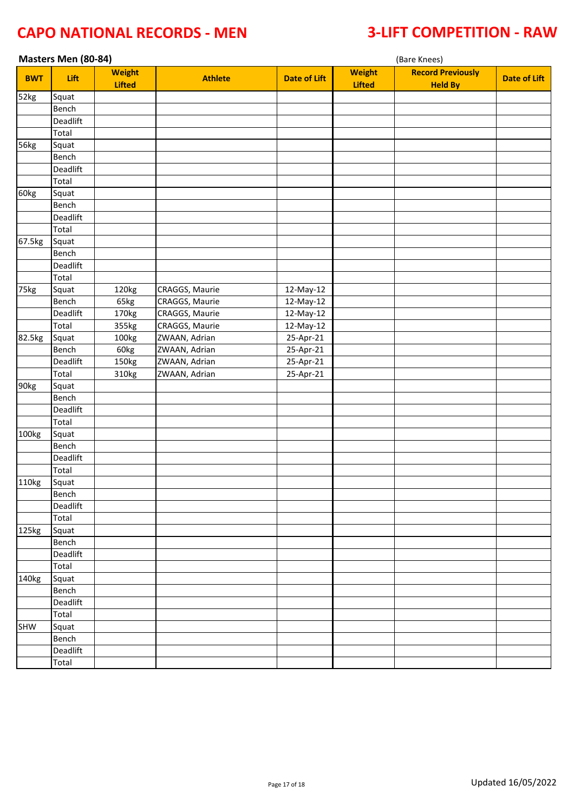|                    | Masters Men (80-84) |                                |                |                     | (Bare Knees)                   |                                            |                     |  |  |
|--------------------|---------------------|--------------------------------|----------------|---------------------|--------------------------------|--------------------------------------------|---------------------|--|--|
| <b>BWT</b>         | Lift                | <b>Weight</b><br><b>Lifted</b> | <b>Athlete</b> | <b>Date of Lift</b> | <b>Weight</b><br><b>Lifted</b> | <b>Record Previously</b><br><b>Held By</b> | <b>Date of Lift</b> |  |  |
| 52kg               | Squat               |                                |                |                     |                                |                                            |                     |  |  |
|                    | Bench               |                                |                |                     |                                |                                            |                     |  |  |
|                    | Deadlift            |                                |                |                     |                                |                                            |                     |  |  |
|                    | Total               |                                |                |                     |                                |                                            |                     |  |  |
| 56kg               | Squat               |                                |                |                     |                                |                                            |                     |  |  |
|                    | Bench               |                                |                |                     |                                |                                            |                     |  |  |
|                    | Deadlift            |                                |                |                     |                                |                                            |                     |  |  |
|                    | Total               |                                |                |                     |                                |                                            |                     |  |  |
| 60kg               | Squat               |                                |                |                     |                                |                                            |                     |  |  |
|                    | Bench               |                                |                |                     |                                |                                            |                     |  |  |
|                    | Deadlift            |                                |                |                     |                                |                                            |                     |  |  |
|                    | Total               |                                |                |                     |                                |                                            |                     |  |  |
| 67.5kg             | Squat               |                                |                |                     |                                |                                            |                     |  |  |
|                    | Bench               |                                |                |                     |                                |                                            |                     |  |  |
|                    | Deadlift            |                                |                |                     |                                |                                            |                     |  |  |
|                    | Total               |                                |                |                     |                                |                                            |                     |  |  |
| $\overline{75}$ kg | Squat               | 120kg                          | CRAGGS, Maurie | 12-May-12           |                                |                                            |                     |  |  |
|                    | Bench               | 65kg                           | CRAGGS, Maurie | 12-May-12           |                                |                                            |                     |  |  |
|                    | Deadlift            | 170kg                          | CRAGGS, Maurie | 12-May-12           |                                |                                            |                     |  |  |
|                    | Total               | 355kg                          | CRAGGS, Maurie | 12-May-12           |                                |                                            |                     |  |  |
| 82.5kg             | Squat               | 100kg                          | ZWAAN, Adrian  | 25-Apr-21           |                                |                                            |                     |  |  |
|                    | Bench               | 60kg                           | ZWAAN, Adrian  | 25-Apr-21           |                                |                                            |                     |  |  |
|                    | Deadlift            | 150kg                          | ZWAAN, Adrian  | 25-Apr-21           |                                |                                            |                     |  |  |
|                    | Total               | 310kg                          | ZWAAN, Adrian  | 25-Apr-21           |                                |                                            |                     |  |  |
| 90kg               | Squat               |                                |                |                     |                                |                                            |                     |  |  |
|                    | Bench               |                                |                |                     |                                |                                            |                     |  |  |
|                    | Deadlift            |                                |                |                     |                                |                                            |                     |  |  |
|                    | Total               |                                |                |                     |                                |                                            |                     |  |  |
| 100kg              | Squat               |                                |                |                     |                                |                                            |                     |  |  |
|                    | Bench               |                                |                |                     |                                |                                            |                     |  |  |
|                    | Deadlift            |                                |                |                     |                                |                                            |                     |  |  |
|                    | Total               |                                |                |                     |                                |                                            |                     |  |  |
| 110kg              | Squat               |                                |                |                     |                                |                                            |                     |  |  |
|                    | Bench               |                                |                |                     |                                |                                            |                     |  |  |
|                    | Deadlift            |                                |                |                     |                                |                                            |                     |  |  |
|                    | Total               |                                |                |                     |                                |                                            |                     |  |  |
| 125kg              | Squat               |                                |                |                     |                                |                                            |                     |  |  |
|                    | Bench               |                                |                |                     |                                |                                            |                     |  |  |
|                    | Deadlift            |                                |                |                     |                                |                                            |                     |  |  |
|                    | Total               |                                |                |                     |                                |                                            |                     |  |  |
| 140kg              | Squat               |                                |                |                     |                                |                                            |                     |  |  |
|                    | Bench               |                                |                |                     |                                |                                            |                     |  |  |
|                    | Deadlift            |                                |                |                     |                                |                                            |                     |  |  |
|                    | Total               |                                |                |                     |                                |                                            |                     |  |  |
| SHW                | Squat               |                                |                |                     |                                |                                            |                     |  |  |
|                    | Bench               |                                |                |                     |                                |                                            |                     |  |  |
|                    | Deadlift            |                                |                |                     |                                |                                            |                     |  |  |
|                    | Total               |                                |                |                     |                                |                                            |                     |  |  |